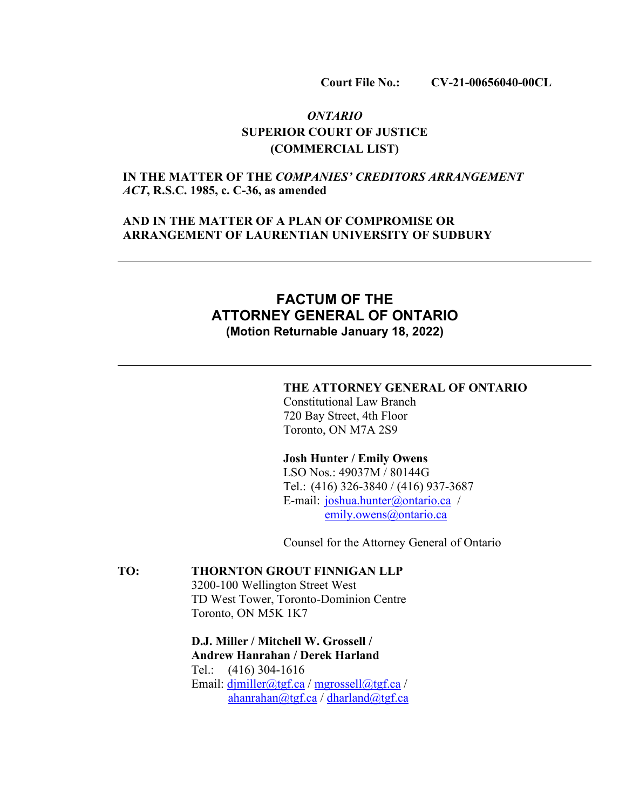**Court File No.: CV-21-00656040-00CL**

## *ONTARIO* **SUPERIOR COURT OF JUSTICE (COMMERCIAL LIST)**

## **IN THE MATTER OF THE** *COMPANIES' CREDITORS ARRANGEMENT ACT***, R.S.C. 1985, c. C-36, as amended**

### **AND IN THE MATTER OF A PLAN OF COMPROMISE OR ARRANGEMENT OF LAURENTIAN UNIVERSITY OF SUDBURY**

## **FACTUM OF THE ATTORNEY GENERAL OF ONTARIO (Motion Returnable January 18, 2022)**

#### **THE ATTORNEY GENERAL OF ONTARIO**

Constitutional Law Branch 720 Bay Street, 4th Floor Toronto, ON M7A 2S9

#### **Josh Hunter / Emily Owens**

LSO Nos.: 49037M / 80144G Tel.: (416) 326-3840 / (416) 937-3687 E-mail: [joshua.hunter@ontario.ca](mailto:joshua.hunter@ontario.ca) / [emily.owens@ontario.ca](mailto:emily.owens@ontario.ca)

Counsel for the Attorney General of Ontario

**TO: THORNTON GROUT FINNIGAN LLP** 3200-100 Wellington Street West TD West Tower, Toronto-Dominion Centre Toronto, ON M5K 1K7

> **D.J. Miller / Mitchell W. Grossell / Andrew Hanrahan / Derek Harland** Tel.: (416) 304-1616 Email: [djmiller@tgf.ca](mailto:djmiller@tgf.ca) / [mgrossell@tgf.ca](mailto:mgrossell@tgf.ca) / [ahanrahan@tgf.ca](mailto:ahanrahan@tgf.ca) / [dharland@tgf.ca](mailto:dharland@tgf.ca)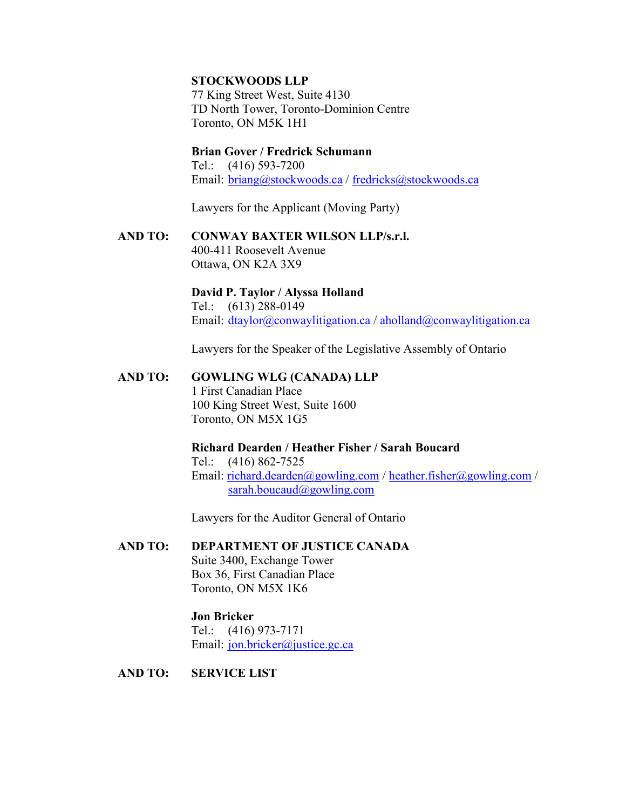#### **STOCKWOODS LLP**

77 King Street West, Suite 4130 TD North Tower, Toronto-Dominion Centre Toronto, ON M5K 1H1

## **Brian Gover / Fredrick Schumann**

Tel.: (416) 593-7200 Email: [briang@stockwoods.ca](mailto:briang@stockwoods.ca) / [fredricks@stockwoods.ca](mailto:fredricks@stockwoods.ca)

Lawyers for the Applicant (Moving Party)

### **AND TO: CONWAY BAXTER WILSON LLP/s.r.l.**

400-411 Roosevelt Avenue Ottawa, ON K2A 3X9

**David P. Taylor / Alyssa Holland**  Tel.: (613) 288-0149 Email: [dtaylor@conwaylitigation.ca](mailto:dtaylor@conwaylitigation.ca) / [aholland@conwaylitigation.ca](mailto:aholland@conwaylitigation.ca)

Lawyers for the Speaker of the Legislative Assembly of Ontario

### **AND TO: GOWLING WLG (CANADA) LLP**

1 First Canadian Place 100 King Street West, Suite 1600 Toronto, ON M5X 1G5

#### **Richard Dearden / Heather Fisher / Sarah Boucard**

Tel.: (416) 862-7525 Email: [richard.dearden@gowling.com](mailto:richard.dearden@gowling.com) / [heather.fisher@gowling.com](mailto:heather.fisher@gowling.com) / [sarah.boucaud@gowling.com](mailto:sarah.boucaud@gowling.com) 

Lawyers for the Auditor General of Ontario

#### **AND TO: DEPARTMENT OF JUSTICE CANADA**

Suite 3400, Exchange Tower Box 36, First Canadian Place Toronto, ON M5X 1K6

### **Jon Bricker**

Tel.: (416) 973-7171 Email: [jon.bricker@justice.gc.ca](mailto:jon.bricker@justice.gc.ca)

### **AND TO: SERVICE LIST**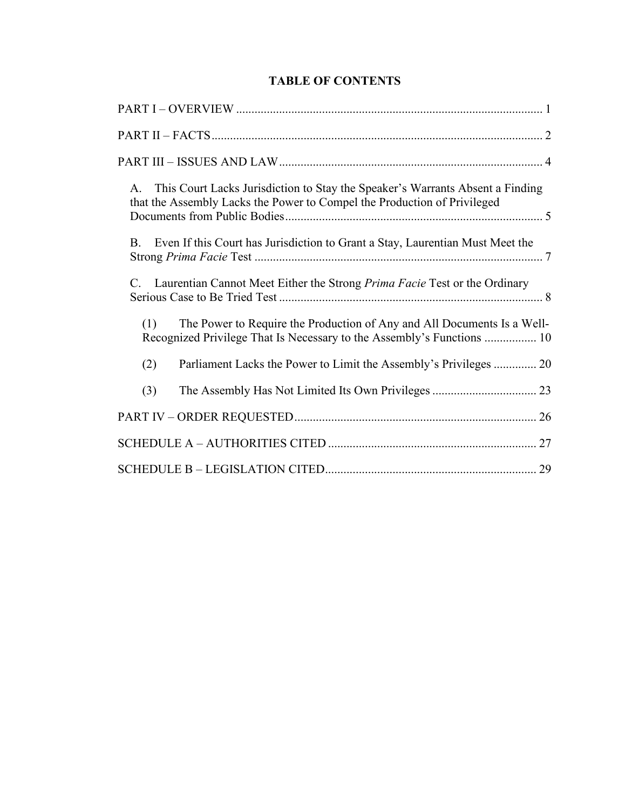## **TABLE OF CONTENTS**

| This Court Lacks Jurisdiction to Stay the Speaker's Warrants Absent a Finding<br>A.<br>that the Assembly Lacks the Power to Compel the Production of Privileged |
|-----------------------------------------------------------------------------------------------------------------------------------------------------------------|
| Even If this Court has Jurisdiction to Grant a Stay, Laurentian Must Meet the<br><b>B.</b>                                                                      |
| Laurentian Cannot Meet Either the Strong Prima Facie Test or the Ordinary<br>$\mathcal{C}$ .                                                                    |
| The Power to Require the Production of Any and All Documents Is a Well-<br>(1)<br>Recognized Privilege That Is Necessary to the Assembly's Functions  10        |
| Parliament Lacks the Power to Limit the Assembly's Privileges  20<br>(2)                                                                                        |
| (3)                                                                                                                                                             |
|                                                                                                                                                                 |
|                                                                                                                                                                 |
|                                                                                                                                                                 |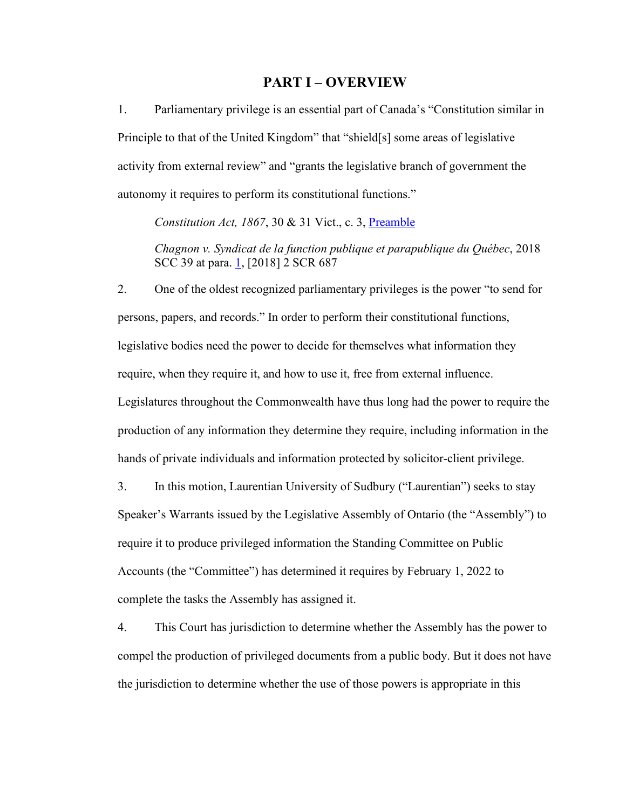#### **PART I – OVERVIEW**

<span id="page-3-0"></span>1. Parliamentary privilege is an essential part of Canada's "Constitution similar in Principle to that of the United Kingdom" that "shield[s] some areas of legislative activity from external review" and "grants the legislative branch of government the autonomy it requires to perform its constitutional functions."

*Constitution Act, 1867, 30 & 31 Vict., c. 3, [Preamble](https://www.canlii.org/en/ca/laws/stat/30---31-vict-c-3/latest/30---31-vict-c-3.html?autocompleteStr=constitu&autocompletePos=2)* 

*Chagnon v. Syndicat de la function publique et parapublique du Québec*, 2018 SCC 39 at para. [1,](https://www.canlii.org/en/ca/scc/doc/2018/2018scc39/2018scc39.html?autocompleteStr=chagnon&autocompletePos=4#par1) [2018] 2 SCR 687

2. One of the oldest recognized parliamentary privileges is the power "to send for persons, papers, and records." In order to perform their constitutional functions, legislative bodies need the power to decide for themselves what information they require, when they require it, and how to use it, free from external influence. Legislatures throughout the Commonwealth have thus long had the power to require the production of any information they determine they require, including information in the hands of private individuals and information protected by solicitor-client privilege.

3. In this motion, Laurentian University of Sudbury ("Laurentian") seeks to stay Speaker's Warrants issued by the Legislative Assembly of Ontario (the "Assembly") to require it to produce privileged information the Standing Committee on Public Accounts (the "Committee") has determined it requires by February 1, 2022 to complete the tasks the Assembly has assigned it.

4. This Court has jurisdiction to determine whether the Assembly has the power to compel the production of privileged documents from a public body. But it does not have the jurisdiction to determine whether the use of those powers is appropriate in this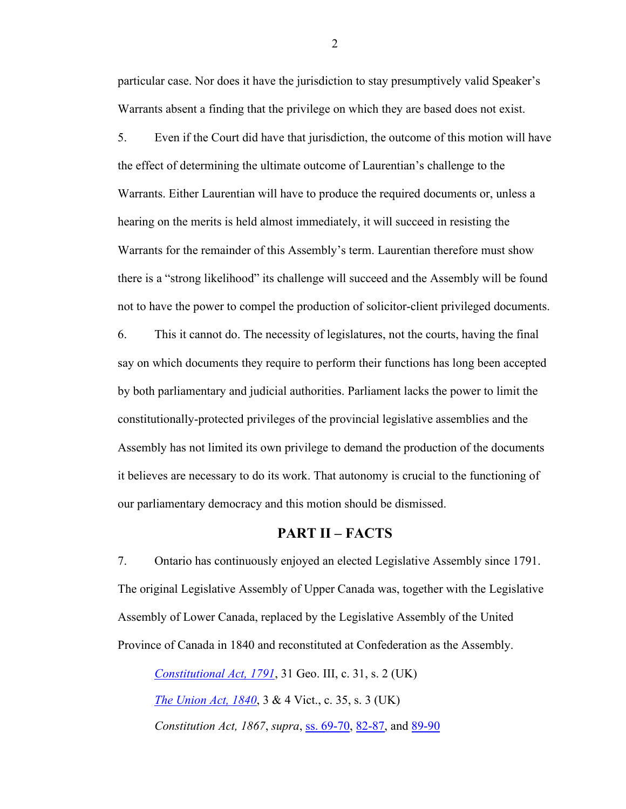particular case. Nor does it have the jurisdiction to stay presumptively valid Speaker's Warrants absent a finding that the privilege on which they are based does not exist.

5. Even if the Court did have that jurisdiction, the outcome of this motion will have the effect of determining the ultimate outcome of Laurentian's challenge to the Warrants. Either Laurentian will have to produce the required documents or, unless a hearing on the merits is held almost immediately, it will succeed in resisting the Warrants for the remainder of this Assembly's term. Laurentian therefore must show there is a "strong likelihood" its challenge will succeed and the Assembly will be found not to have the power to compel the production of solicitor-client privileged documents.

6. This it cannot do. The necessity of legislatures, not the courts, having the final say on which documents they require to perform their functions has long been accepted by both parliamentary and judicial authorities. Parliament lacks the power to limit the constitutionally-protected privileges of the provincial legislative assemblies and the Assembly has not limited its own privilege to demand the production of the documents it believes are necessary to do its work. That autonomy is crucial to the functioning of our parliamentary democracy and this motion should be dismissed.

#### **PART II – FACTS**

<span id="page-4-0"></span>7. Ontario has continuously enjoyed an elected Legislative Assembly since 1791. The original Legislative Assembly of Upper Canada was, together with the Legislative Assembly of Lower Canada, replaced by the Legislative Assembly of the United Province of Canada in 1840 and reconstituted at Confederation as the Assembly.

*[Constitutional Act, 1791](https://www.lgontario.ca/custom/uploads/2017/04/Constitutional-Act-1791.pdf)*, 31 Geo. III, c. 31, s. 2 (UK) *[The Union Act, 1840](https://www.lgontario.ca/custom/uploads/2017/04/Act-of-Union-1840.pdf)*, 3 & 4 Vict., c. 35, s. 3 (UK) *Constitution Act, 1867*, *supra*, [ss. 69-70,](https://www.canlii.org/en/ca/laws/stat/30---31-vict-c-3/latest/30---31-vict-c-3.html?autocompleteStr=constitu&autocompletePos=2#sec69) [82-87,](https://www.canlii.org/en/ca/laws/stat/30---31-vict-c-3/latest/30---31-vict-c-3.html?autocompleteStr=constitu&autocompletePos=23#sec82) and [89-90](https://www.canlii.org/en/ca/laws/stat/30---31-vict-c-3/latest/30---31-vict-c-3.html?autocompleteStr=constitu&autocompletePos=2#sec89)

2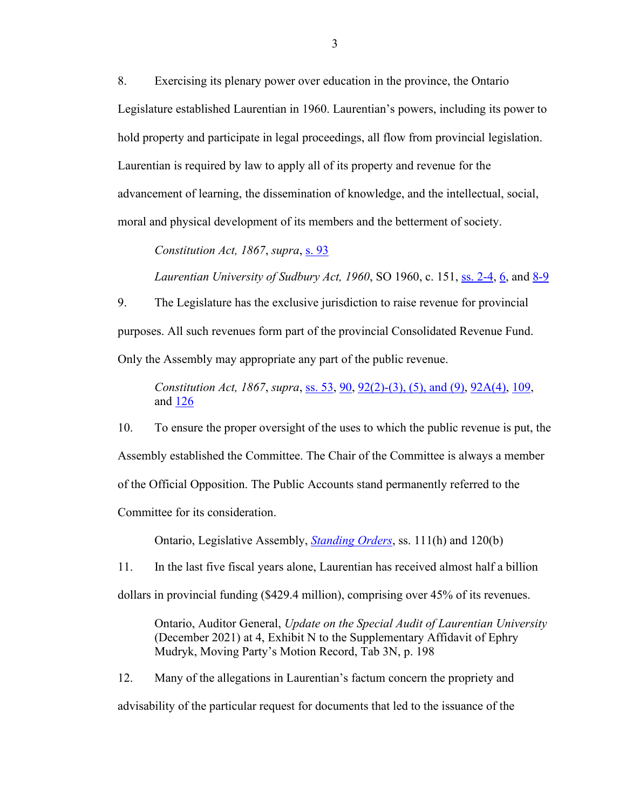8. Exercising its plenary power over education in the province, the Ontario Legislature established Laurentian in 1960. Laurentian's powers, including its power to hold property and participate in legal proceedings, all flow from provincial legislation. Laurentian is required by law to apply all of its property and revenue for the advancement of learning, the dissemination of knowledge, and the intellectual, social, moral and physical development of its members and the betterment of society.

*Constitution Act, 1867*, *supra*, [s. 93](https://www.canlii.org/en/ca/laws/stat/30---31-vict-c-3/latest/30---31-vict-c-3.html?autocompleteStr=constitu&autocompletePos=2#sec93)

*Laurentian University of Sudbury Act, 1960*, SO 1960, c. 151, [ss. 2-4,](https://archive.org/details/v3ontariobills1960ontauoft/page/1068/mode/2up) [6,](https://archive.org/details/v3ontariobills1960ontauoft/page/1070/mode/2up) and [8-9](https://archive.org/details/v3ontariobills1960ontauoft/page/1070/mode/2up)

9. The Legislature has the exclusive jurisdiction to raise revenue for provincial purposes. All such revenues form part of the provincial Consolidated Revenue Fund. Only the Assembly may appropriate any part of the public revenue.

*Constitution Act, 1867*, *supra*, [ss.](https://www.canlii.org/en/ca/laws/stat/30---31-vict-c-3/latest/30---31-vict-c-3.html?autocompleteStr=constitu&autocompletePos=2#sec53) 53, [90,](https://www.canlii.org/en/ca/laws/stat/30---31-vict-c-3/latest/30---31-vict-c-3.html?autocompleteStr=constitu&autocompletePos=2#sec90) [92\(2\)-\(3\), \(5\), and \(9\),](https://www.canlii.org/en/ca/laws/stat/30---31-vict-c-3/latest/30---31-vict-c-3.html?autocompleteStr=constitu&autocompletePos=2#sec92) [92A\(4\),](https://www.canlii.org/en/ca/laws/stat/30---31-vict-c-3/latest/30---31-vict-c-3.html?autocompleteStr=constitu&autocompletePos=2#sec92Asubsec4) [109,](https://www.canlii.org/en/ca/laws/stat/30---31-vict-c-3/latest/30---31-vict-c-3.html?autocompleteStr=constitu&autocompletePos=2#sec109) and [126](https://www.canlii.org/en/ca/laws/stat/30---31-vict-c-3/latest/30---31-vict-c-3.html?autocompleteStr=constitu&autocompletePos=2#sec126)

10. To ensure the proper oversight of the uses to which the public revenue is put, the Assembly established the Committee. The Chair of the Committee is always a member of the Official Opposition. The Public Accounts stand permanently referred to the Committee for its consideration.

Ontario, Legislative Assembly, *[Standing Orders](https://www.ola.org/en/legislative-business/standing-orders)*, ss. 111(h) and 120(b)

11. In the last five fiscal years alone, Laurentian has received almost half a billion

dollars in provincial funding (\$429.4 million), comprising over 45% of its revenues.

Ontario, Auditor General, *Update on the Special Audit of Laurentian University* (December 2021) at 4, Exhibit N to the Supplementary Affidavit of Ephry Mudryk, Moving Party's Motion Record, Tab 3N, p. 198

12. Many of the allegations in Laurentian's factum concern the propriety and advisability of the particular request for documents that led to the issuance of the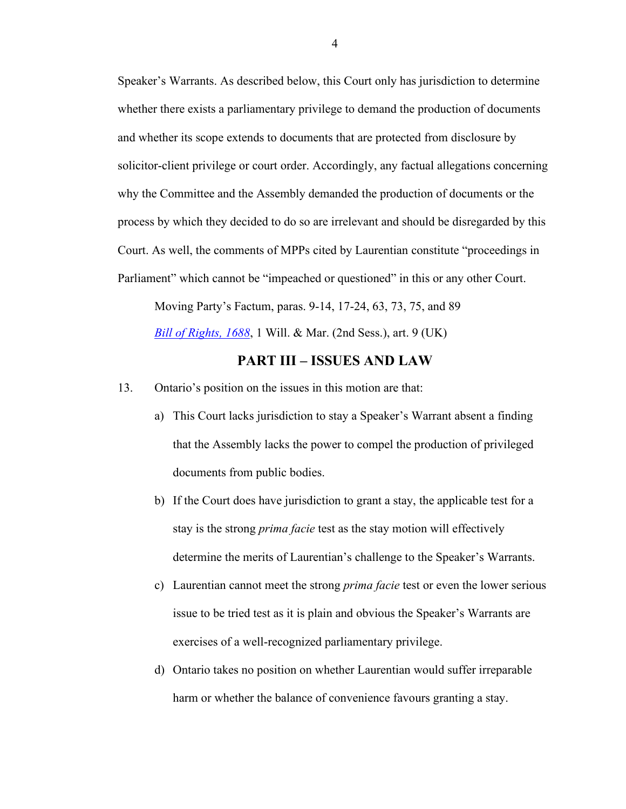Speaker's Warrants. As described below, this Court only has jurisdiction to determine whether there exists a parliamentary privilege to demand the production of documents and whether its scope extends to documents that are protected from disclosure by solicitor-client privilege or court order. Accordingly, any factual allegations concerning why the Committee and the Assembly demanded the production of documents or the process by which they decided to do so are irrelevant and should be disregarded by this Court. As well, the comments of MPPs cited by Laurentian constitute "proceedings in Parliament" which cannot be "impeached or questioned" in this or any other Court.

Moving Party's Factum, paras. 9-14, 17-24, 63, 73, 75, and 89 *[Bill of Rights, 1688](https://www.legislation.gov.uk/aep/WillandMarSess2/1/2/introduction)*, 1 Will. & Mar. (2nd Sess.), art. 9 (UK)

## **PART III – ISSUES AND LAW**

<span id="page-6-0"></span>13. Ontario's position on the issues in this motion are that:

- a) This Court lacks jurisdiction to stay a Speaker's Warrant absent a finding that the Assembly lacks the power to compel the production of privileged documents from public bodies.
- b) If the Court does have jurisdiction to grant a stay, the applicable test for a stay is the strong *prima facie* test as the stay motion will effectively determine the merits of Laurentian's challenge to the Speaker's Warrants.
- c) Laurentian cannot meet the strong *prima facie* test or even the lower serious issue to be tried test as it is plain and obvious the Speaker's Warrants are exercises of a well-recognized parliamentary privilege.
- d) Ontario takes no position on whether Laurentian would suffer irreparable harm or whether the balance of convenience favours granting a stay.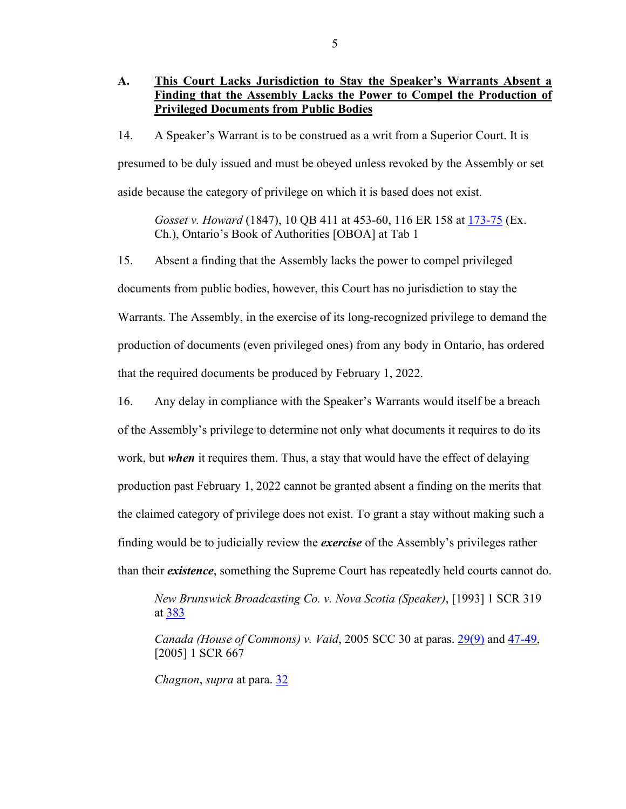### <span id="page-7-0"></span>**A. This Court Lacks Jurisdiction to Stay the Speaker's Warrants Absent a Finding that the Assembly Lacks the Power to Compel the Production of Privileged Documents from Public Bodies**

14. A Speaker's Warrant is to be construed as a writ from a Superior Court. It is presumed to be duly issued and must be obeyed unless revoked by the Assembly or set aside because the category of privilege on which it is based does not exist.

*Gosset v. Howard* (1847), 10 QB 411 at 453-60, 116 ER 158 at [173-75](https://heinonline.org/HOL/Page?collection=engrep&handle=hein.engrep/engrf0116&id=177&men_tab=srchresults) (Ex. Ch.), Ontario's Book of Authorities [OBOA] at Tab 1

15. Absent a finding that the Assembly lacks the power to compel privileged documents from public bodies, however, this Court has no jurisdiction to stay the Warrants. The Assembly, in the exercise of its long-recognized privilege to demand the production of documents (even privileged ones) from any body in Ontario, has ordered that the required documents be produced by February 1, 2022.

16. Any delay in compliance with the Speaker's Warrants would itself be a breach of the Assembly's privilege to determine not only what documents it requires to do its work, but *when* it requires them. Thus, a stay that would have the effect of delaying production past February 1, 2022 cannot be granted absent a finding on the merits that the claimed category of privilege does not exist. To grant a stay without making such a finding would be to judicially review the *exercise* of the Assembly's privileges rather than their *existence*, something the Supreme Court has repeatedly held courts cannot do.

*New Brunswick Broadcasting Co. v. Nova Scotia (Speaker)*, [1993] 1 SCR 319 at [383](https://www.canlii.org/en/ca/scc/doc/1993/1993canlii153/1993canlii153.pdf#p383)

*Canada (House of Commons) v. Vaid*, 2005 SCC 30 at paras. [29\(9\)](https://www.canlii.org/en/ca/scc/doc/2005/2005scc30/2005scc30.html?autocompleteStr=2005%20scc%2030&autocompletePos=1#par29) and [47-49,](https://www.canlii.org/en/ca/scc/doc/2005/2005scc30/2005scc30.html?autocompleteStr=2005%20scc%2030&autocompletePos=1#par47) [2005] 1 SCR 667

*Chagnon*, *supra* at para. [32](https://www.canlii.org/en/ca/scc/doc/2018/2018scc39/2018scc39.html?autocompleteStr=chagnon&autocompletePos=4#par32)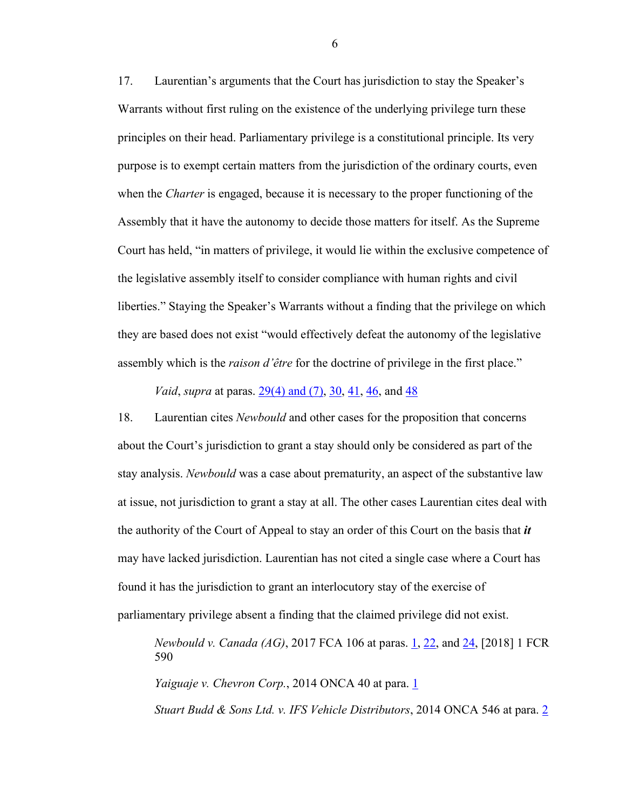17. Laurentian's arguments that the Court has jurisdiction to stay the Speaker's Warrants without first ruling on the existence of the underlying privilege turn these principles on their head. Parliamentary privilege is a constitutional principle. Its very purpose is to exempt certain matters from the jurisdiction of the ordinary courts, even when the *Charter* is engaged, because it is necessary to the proper functioning of the Assembly that it have the autonomy to decide those matters for itself. As the Supreme Court has held, "in matters of privilege, it would lie within the exclusive competence of the legislative assembly itself to consider compliance with human rights and civil liberties." Staying the Speaker's Warrants without a finding that the privilege on which they are based does not exist "would effectively defeat the autonomy of the legislative assembly which is the *raison d'être* for the doctrine of privilege in the first place."

*Vaid, supra* at paras. [29\(4\) and \(7\),](https://www.canlii.org/en/ca/scc/doc/2005/2005scc30/2005scc30.html?autocompleteStr=2005%20scc%2030&autocompletePos=1#par29) [30,](https://www.canlii.org/en/ca/scc/doc/2005/2005scc30/2005scc30.html?autocompleteStr=2005%20scc%2030&autocompletePos=1#par30) [41,](https://www.canlii.org/en/ca/scc/doc/2005/2005scc30/2005scc30.html?autocompleteStr=2005%20scc%2030&autocompletePos=1#par41) [46,](https://www.canlii.org/en/ca/scc/doc/2005/2005scc30/2005scc30.html?autocompleteStr=2005%20scc%2030&autocompletePos=1#par46) and [48](https://www.canlii.org/en/ca/scc/doc/2005/2005scc30/2005scc30.html?autocompleteStr=2005%20scc%2030&autocompletePos=1#par48)

18. Laurentian cites *Newbould* and other cases for the proposition that concerns about the Court's jurisdiction to grant a stay should only be considered as part of the stay analysis. *Newbould* was a case about prematurity, an aspect of the substantive law at issue, not jurisdiction to grant a stay at all. The other cases Laurentian cites deal with the authority of the Court of Appeal to stay an order of this Court on the basis that *it* may have lacked jurisdiction. Laurentian has not cited a single case where a Court has found it has the jurisdiction to grant an interlocutory stay of the exercise of parliamentary privilege absent a finding that the claimed privilege did not exist.

*Newbould v. Canada (AG)*, 2017 FCA 106 at paras. [1, 22,](https://www.canlii.org/en/ca/fca/doc/2017/2017fca106/2017fca106.html?autocompleteStr=2017%20FCA%20106%20&autocompletePos=1#document) and [24,](https://www.canlii.org/en/ca/fca/doc/2017/2017fca106/2017fca106.html?autocompleteStr=2017%20FCA%20106%20&autocompletePos=1#document) [2018] 1 FCR 590

*Yaiguaje v. Chevron Corp.*, 2014 ONCA 40 at para. [1](https://www.canlii.org/en/on/onca/doc/2014/2014onca40/2014onca40.html?autocompleteStr=2014%20ONCA%2040&autocompletePos=1#par1) *Stuart Budd & Sons Ltd. v. IFS Vehicle Distributors*, 2014 ONCA 546 at para. [2](https://www.canlii.org/en/on/onca/doc/2014/2014onca546/2014onca546.html?autocompleteStr=2014%20onca%20546&autocompletePos=1#par2)

6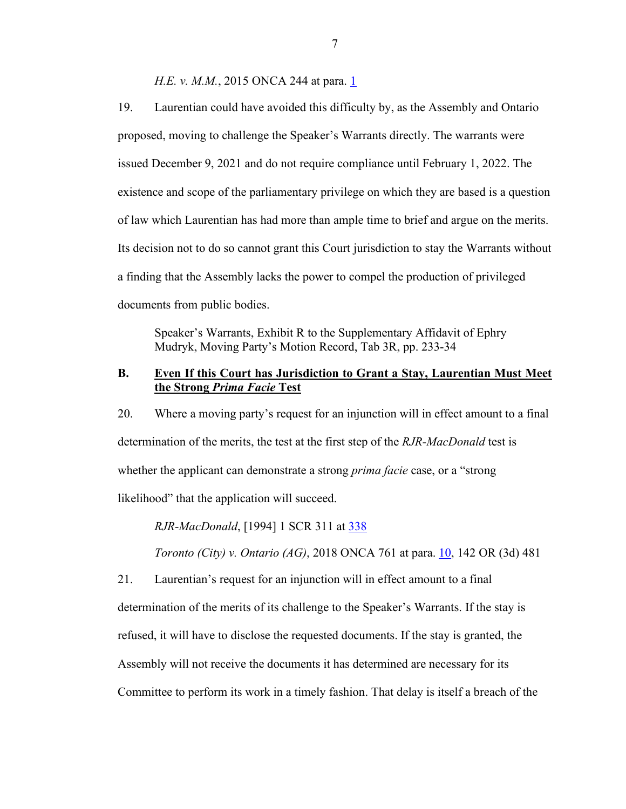*H.E. v. M.M.*, 2015 ONCA 244 at para. [1](https://www.canlii.org/en/on/onca/doc/2015/2015onca244/2015onca244.html?autocompleteStr=2015%20onca%20244&autocompletePos=1#par1)

19. Laurentian could have avoided this difficulty by, as the Assembly and Ontario proposed, moving to challenge the Speaker's Warrants directly. The warrants were issued December 9, 2021 and do not require compliance until February 1, 2022. The existence and scope of the parliamentary privilege on which they are based is a question of law which Laurentian has had more than ample time to brief and argue on the merits. Its decision not to do so cannot grant this Court jurisdiction to stay the Warrants without a finding that the Assembly lacks the power to compel the production of privileged documents from public bodies.

Speaker's Warrants, Exhibit R to the Supplementary Affidavit of Ephry Mudryk, Moving Party's Motion Record, Tab 3R, pp. 233-34

### <span id="page-9-0"></span>**B. Even If this Court has Jurisdiction to Grant a Stay, Laurentian Must Meet the Strong** *Prima Facie* **Test**

20. Where a moving party's request for an injunction will in effect amount to a final determination of the merits, the test at the first step of the *RJR-MacDonald* test is whether the applicant can demonstrate a strong *prima facie* case, or a "strong likelihood" that the application will succeed.

*RJR-MacDonald*, [1994] 1 SCR 311 at [338](https://www.canlii.org/en/ca/scc/doc/1994/1994canlii117/1994canlii117.pdf#p28)

*Toronto (City) v. Ontario (AG)*, 2018 ONCA 761 at para. **10**, 142 OR (3d) 481

21. Laurentian's request for an injunction will in effect amount to a final determination of the merits of its challenge to the Speaker's Warrants. If the stay is refused, it will have to disclose the requested documents. If the stay is granted, the Assembly will not receive the documents it has determined are necessary for its Committee to perform its work in a timely fashion. That delay is itself a breach of the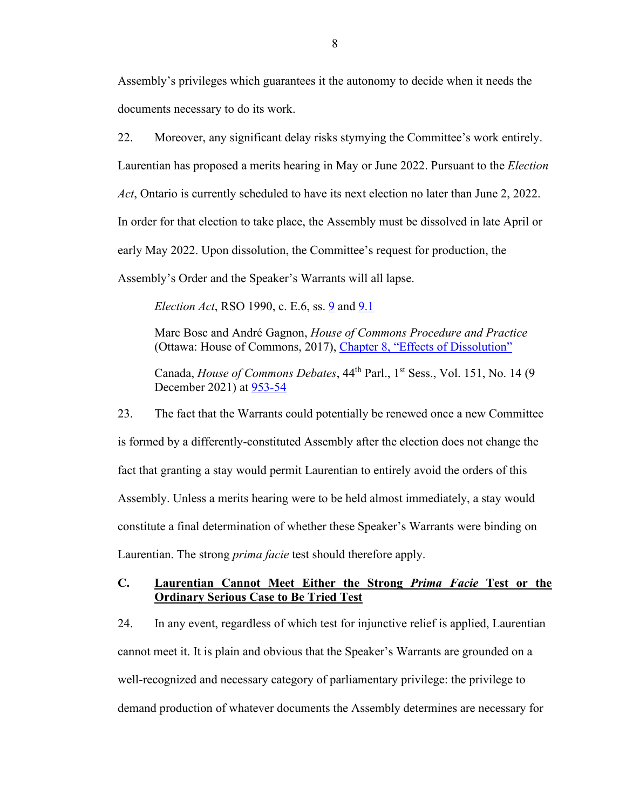Assembly's privileges which guarantees it the autonomy to decide when it needs the documents necessary to do its work.

22. Moreover, any significant delay risks stymying the Committee's work entirely.

Laurentian has proposed a merits hearing in May or June 2022. Pursuant to the *Election* 

*Act*, Ontario is currently scheduled to have its next election no later than June 2, 2022.

In order for that election to take place, the Assembly must be dissolved in late April or

early May 2022. Upon dissolution, the Committee's request for production, the

Assembly's Order and the Speaker's Warrants will all lapse.

*Election Act*, RSO 1990, c. E.6, ss. [9](https://www.ontario.ca/laws/statute/90e06#BK41) and [9.1](https://www.ontario.ca/laws/statute/90e06#BK41)

Marc Bosc and André Gagnon, *House of Commons Procedure and Practice* (Ottawa: House of Commons, 2017), [Chapter 8, "Effects of Dissolution"](https://www.ourcommons.ca/about/procedureandpractice3rdedition/ch_08_6-e.html#8-6-2-1)

Canada, *House of Commons Debates*, 44<sup>th</sup> Parl., 1<sup>st</sup> Sess., Vol. 151, No. 14 (9) December 2021) at [953-54](https://www.ourcommons.ca/Content/House/441/Debates/014/HAN014-E.PDF)

23. The fact that the Warrants could potentially be renewed once a new Committee is formed by a differently-constituted Assembly after the election does not change the fact that granting a stay would permit Laurentian to entirely avoid the orders of this Assembly. Unless a merits hearing were to be held almost immediately, a stay would constitute a final determination of whether these Speaker's Warrants were binding on Laurentian. The strong *prima facie* test should therefore apply.

#### <span id="page-10-0"></span>**C. Laurentian Cannot Meet Either the Strong** *Prima Facie* **Test or the Ordinary Serious Case to Be Tried Test**

24. In any event, regardless of which test for injunctive relief is applied, Laurentian cannot meet it. It is plain and obvious that the Speaker's Warrants are grounded on a well-recognized and necessary category of parliamentary privilege: the privilege to demand production of whatever documents the Assembly determines are necessary for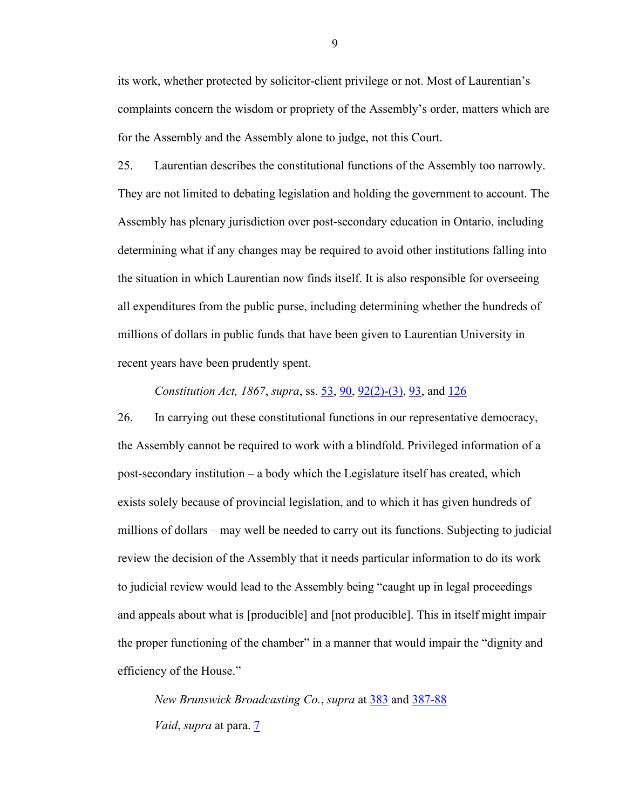its work, whether protected by solicitor-client privilege or not. Most of Laurentian's complaints concern the wisdom or propriety of the Assembly's order, matters which are for the Assembly and the Assembly alone to judge, not this Court.

25. Laurentian describes the constitutional functions of the Assembly too narrowly. They are not limited to debating legislation and holding the government to account. The Assembly has plenary jurisdiction over post-secondary education in Ontario, including determining what if any changes may be required to avoid other institutions falling into the situation in which Laurentian now finds itself. It is also responsible for overseeing all expenditures from the public purse, including determining whether the hundreds of millions of dollars in public funds that have been given to Laurentian University in recent years have been prudently spent.

#### *Constitution Act, 1867, supra, ss.* [53,](https://www.canlii.org/en/ca/laws/stat/30---31-vict-c-3/latest/30---31-vict-c-3.html?autocompleteStr=constitu&autocompletePos=2#sec53) [90,](https://www.canlii.org/en/ca/laws/stat/30---31-vict-c-3/latest/30---31-vict-c-3.html?autocompleteStr=constitu&autocompletePos=2#sec90) [92\(2\)-\(3\),](https://www.canlii.org/en/ca/laws/stat/30---31-vict-c-3/latest/30---31-vict-c-3.html?autocompleteStr=constitu&autocompletePos=2#sec92) [93,](https://www.canlii.org/en/ca/laws/stat/30---31-vict-c-3/latest/30---31-vict-c-3.html?autocompleteStr=constitu&autocompletePos=2#sec93) and [126](https://www.canlii.org/en/ca/laws/stat/30---31-vict-c-3/latest/30---31-vict-c-3.html?autocompleteStr=constitu&autocompletePos=2#sec126)

26. In carrying out these constitutional functions in our representative democracy, the Assembly cannot be required to work with a blindfold. Privileged information of a post-secondary institution – a body which the Legislature itself has created, which exists solely because of provincial legislation, and to which it has given hundreds of millions of dollars – may well be needed to carry out its functions. Subjecting to judicial review the decision of the Assembly that it needs particular information to do its work to judicial review would lead to the Assembly being "caught up in legal proceedings and appeals about what is [producible] and [not producible]. This in itself might impair the proper functioning of the chamber" in a manner that would impair the "dignity and efficiency of the House."

*New Brunswick Broadcasting Co.*, *supra* at [383](https://www.canlii.org/en/ca/scc/doc/1993/1993canlii153/1993canlii153.pdf#p383) and [387-88](https://www.canlii.org/en/ca/scc/doc/1993/1993canlii153/1993canlii153.pdf#p387) *Vaid*, *supra* at para. [7](https://www.canlii.org/en/ca/scc/doc/2005/2005scc30/2005scc30.html?autocompleteStr=2005%20scc%2030&autocompletePos=1#par7)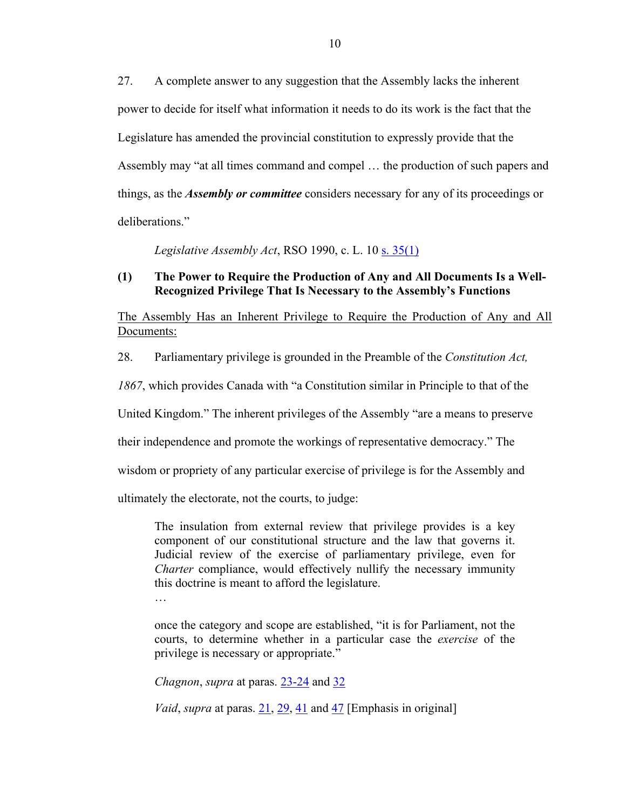27. A complete answer to any suggestion that the Assembly lacks the inherent power to decide for itself what information it needs to do its work is the fact that the Legislature has amended the provincial constitution to expressly provide that the Assembly may "at all times command and compel … the production of such papers and things, as the *Assembly or committee* considers necessary for any of its proceedings or deliberations."

*Legislative Assembly Act*, RSO 1990, c. L. 10 [s. 35\(1\)](https://www.ontario.ca/laws/statute/90l10#BK32)

#### <span id="page-12-0"></span>**(1) The Power to Require the Production of Any and All Documents Is a Well-Recognized Privilege That Is Necessary to the Assembly's Functions**

The Assembly Has an Inherent Privilege to Require the Production of Any and All Documents:

28. Parliamentary privilege is grounded in the Preamble of the *Constitution Act,* 

*1867*, which provides Canada with "a Constitution similar in Principle to that of the

United Kingdom." The inherent privileges of the Assembly "are a means to preserve

their independence and promote the workings of representative democracy." The

wisdom or propriety of any particular exercise of privilege is for the Assembly and

ultimately the electorate, not the courts, to judge:

The insulation from external review that privilege provides is a key component of our constitutional structure and the law that governs it. Judicial review of the exercise of parliamentary privilege, even for *Charter* compliance, would effectively nullify the necessary immunity this doctrine is meant to afford the legislature. …

once the category and scope are established, "it is for Parliament, not the courts, to determine whether in a particular case the *exercise* of the privilege is necessary or appropriate."

*Chagnon*, *supra* at paras. [23-24](https://www.canlii.org/en/ca/scc/doc/2018/2018scc39/2018scc39.html?autocompleteStr=chagnon&autocompletePos=4#par23) and [32](https://www.canlii.org/en/ca/scc/doc/2018/2018scc39/2018scc39.html?autocompleteStr=chagnon&autocompletePos=4#par32)

*Vaid*, *supra* at paras. [21,](https://www.canlii.org/en/ca/scc/doc/2005/2005scc30/2005scc30.html?autocompleteStr=2005%20scc%2030&autocompletePos=1#par21) [29,](https://www.canlii.org/en/ca/scc/doc/2005/2005scc30/2005scc30.html?autocompleteStr=2005%20scc%2030&autocompletePos=1#par29) [41](https://www.canlii.org/en/ca/scc/doc/2005/2005scc30/2005scc30.html?autocompleteStr=2005%20scc%2030&autocompletePos=1#par41) and [47](https://www.canlii.org/en/ca/scc/doc/2005/2005scc30/2005scc30.html?autocompleteStr=2005%20scc%2030&autocompletePos=1#par47) [Emphasis in original]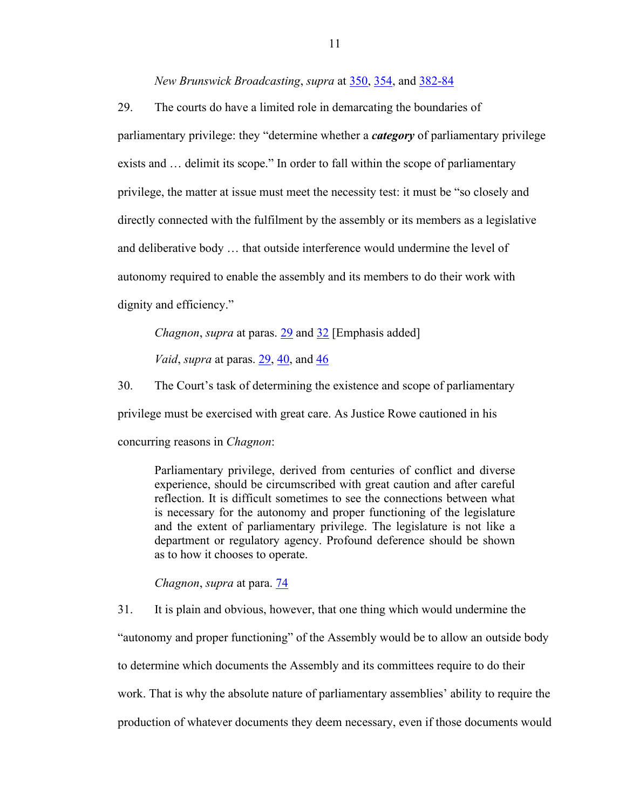#### *New Brunswick Broadcasting*, *supra* at [350,](https://www.canlii.org/en/ca/scc/doc/1993/1993canlii153/1993canlii153.pdf#p350) [354,](https://www.canlii.org/en/ca/scc/doc/1993/1993canlii153/1993canlii153.pdf#p354) and [382-84](https://www.canlii.org/en/ca/scc/doc/1993/1993canlii153/1993canlii153.pdf#p382)

29. The courts do have a limited role in demarcating the boundaries of parliamentary privilege: they "determine whether a *category* of parliamentary privilege exists and … delimit its scope." In order to fall within the scope of parliamentary privilege, the matter at issue must meet the necessity test: it must be "so closely and directly connected with the fulfilment by the assembly or its members as a legislative and deliberative body … that outside interference would undermine the level of autonomy required to enable the assembly and its members to do their work with dignity and efficiency."

*Chagnon*, *supra* at paras. [29](https://www.canlii.org/en/ca/scc/doc/2018/2018scc39/2018scc39.html?autocompleteStr=chagnon&autocompletePos=4#par29) and [32](https://www.canlii.org/en/ca/scc/doc/2018/2018scc39/2018scc39.html?autocompleteStr=chagnon&autocompletePos=4#par32) [Emphasis added] *Vaid*, *supra* at paras. [29,](https://www.canlii.org/en/ca/scc/doc/2005/2005scc30/2005scc30.html?autocompleteStr=2005%20scc%2030&autocompletePos=1#par29) [40,](https://www.canlii.org/en/ca/scc/doc/2005/2005scc30/2005scc30.html?autocompleteStr=2005%20scc%2030&autocompletePos=1#par40) and [46](https://www.canlii.org/en/ca/scc/doc/2005/2005scc30/2005scc30.html?autocompleteStr=2005%20scc%2030&autocompletePos=1#par46)

30. The Court's task of determining the existence and scope of parliamentary privilege must be exercised with great care. As Justice Rowe cautioned in his concurring reasons in *Chagnon*:

Parliamentary privilege, derived from centuries of conflict and diverse experience, should be circumscribed with great caution and after careful reflection. It is difficult sometimes to see the connections between what is necessary for the autonomy and proper functioning of the legislature and the extent of parliamentary privilege. The legislature is not like a department or regulatory agency. Profound deference should be shown as to how it chooses to operate.

*Chagnon, supra* at para. **74** 

31. It is plain and obvious, however, that one thing which would undermine the "autonomy and proper functioning" of the Assembly would be to allow an outside body to determine which documents the Assembly and its committees require to do their work. That is why the absolute nature of parliamentary assemblies' ability to require the production of whatever documents they deem necessary, even if those documents would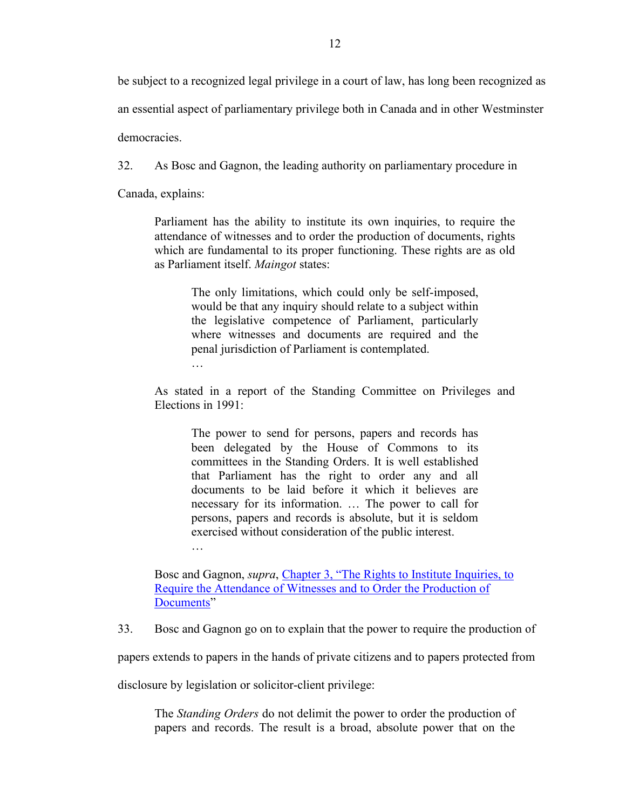be subject to a recognized legal privilege in a court of law, has long been recognized as an essential aspect of parliamentary privilege both in Canada and in other Westminster democracies.

32. As Bosc and Gagnon, the leading authority on parliamentary procedure in

Canada, explains:

Parliament has the ability to institute its own inquiries, to require the attendance of witnesses and to order the production of documents, rights which are fundamental to its proper functioning. These rights are as old as Parliament itself. *Maingot* states:

> The only limitations, which could only be self-imposed, would be that any inquiry should relate to a subject within the legislative competence of Parliament, particularly where witnesses and documents are required and the penal jurisdiction of Parliament is contemplated. …

As stated in a report of the Standing Committee on Privileges and Elections in 1991:

The power to send for persons, papers and records has been delegated by the House of Commons to its committees in the Standing Orders. It is well established that Parliament has the right to order any and all documents to be laid before it which it believes are necessary for its information. … The power to call for persons, papers and records is absolute, but it is seldom exercised without consideration of the public interest.

Bosc and Gagnon, *supra*, [Chapter 3, "The Rights to Institute Inquiries, to](https://www.ourcommons.ca/about/procedureandpractice3rdedition/ch_03_7-e.html#3-7-4) [Require the Attendance of Witnesses and to Order the Production of](https://www.ourcommons.ca/about/procedureandpractice3rdedition/ch_03_7-e.html#3-7-4)  [Documents"](https://www.ourcommons.ca/about/procedureandpractice3rdedition/ch_03_7-e.html#3-7-4)

33. Bosc and Gagnon go on to explain that the power to require the production of

papers extends to papers in the hands of private citizens and to papers protected from

disclosure by legislation or solicitor-client privilege:

…

The *Standing Orders* do not delimit the power to order the production of papers and records. The result is a broad, absolute power that on the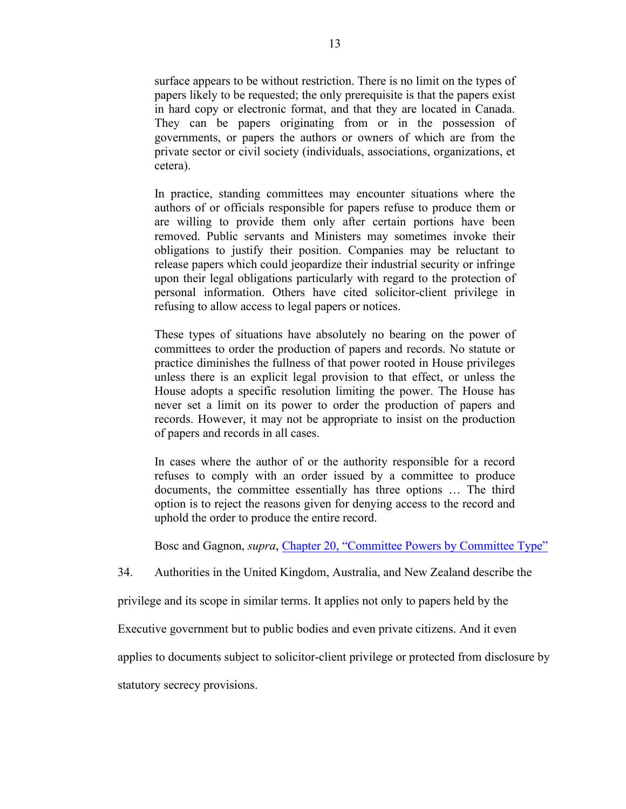surface appears to be without restriction. There is no limit on the types of papers likely to be requested; the only prerequisite is that the papers exist in hard copy or electronic format, and that they are located in Canada. They can be papers originating from or in the possession of governments, or papers the authors or owners of which are from the private sector or civil society (individuals, associations, organizations, et cetera).

In practice, standing committees may encounter situations where the authors of or officials responsible for papers refuse to produce them or are willing to provide them only after certain portions have been removed. Public servants and Ministers may sometimes invoke their obligations to justify their position. Companies may be reluctant to release papers which could jeopardize their industrial security or infringe upon their legal obligations particularly with regard to the protection of personal information. Others have cited solicitor-client privilege in refusing to allow access to legal papers or notices.

These types of situations have absolutely no bearing on the power of committees to order the production of papers and records. No statute or practice diminishes the fullness of that power rooted in House privileges unless there is an explicit legal provision to that effect, or unless the House adopts a specific resolution limiting the power. The House has never set a limit on its power to order the production of papers and records. However, it may not be appropriate to insist on the production of papers and records in all cases.

In cases where the author of or the authority responsible for a record refuses to comply with an order issued by a committee to produce documents, the committee essentially has three options … The third option is to reject the reasons given for denying access to the record and uphold the order to produce the entire record.

Bosc and Gagnon, *supra*, [Chapter 20, "Committee Powers by Committee Type"](https://www.ourcommons.ca/about/procedureandpractice3rdedition/ch_20_4-e.html)

34. Authorities in the United Kingdom, Australia, and New Zealand describe the

privilege and its scope in similar terms. It applies not only to papers held by the

Executive government but to public bodies and even private citizens. And it even

applies to documents subject to solicitor-client privilege or protected from disclosure by

statutory secrecy provisions.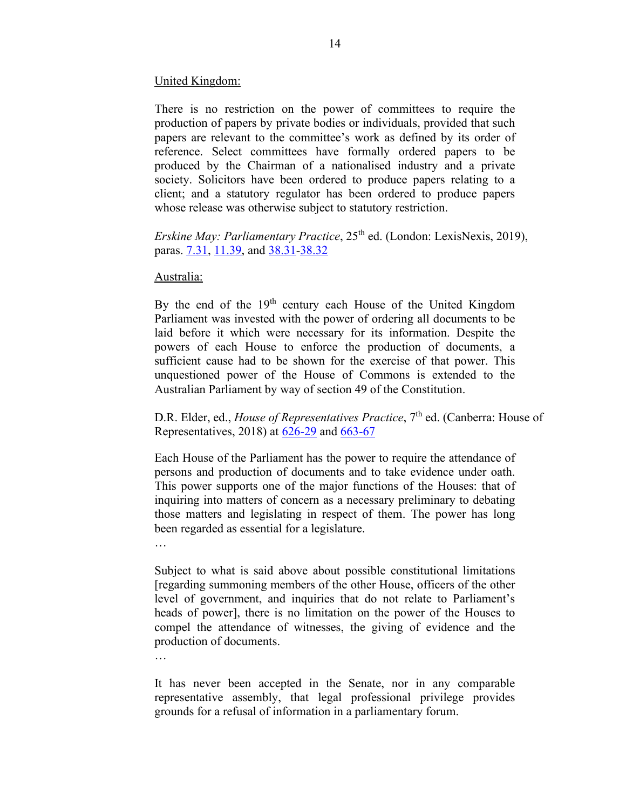#### United Kingdom:

There is no restriction on the power of committees to require the production of papers by private bodies or individuals, provided that such papers are relevant to the committee's work as defined by its order of reference. Select committees have formally ordered papers to be produced by the Chairman of a nationalised industry and a private society. Solicitors have been ordered to produce papers relating to a client; and a statutory regulator has been ordered to produce papers whose release was otherwise subject to statutory restriction.

*Erskine May: Parliamentary Practice*, 25<sup>th</sup> ed. (London: LexisNexis, 2019), paras. [7.31,](https://erskinemay.parliament.uk/section/6479/opposed-returns/) [11.39,](https://erskinemay.parliament.uk/section/4568/power-to-summon-witnesses/) and [38.31-](https://erskinemay.parliament.uk/section/5913/witnesses-and-evidence/)[38.32](https://erskinemay.parliament.uk/section/5914/papers-and-records/)

#### Australia:

By the end of the 19<sup>th</sup> century each House of the United Kingdom Parliament was invested with the power of ordering all documents to be laid before it which were necessary for its information. Despite the powers of each House to enforce the production of documents, a sufficient cause had to be shown for the exercise of that power. This unquestioned power of the House of Commons is extended to the Australian Parliament by way of section 49 of the Constitution.

D.R. Elder, ed., *House of Representatives Practice*, 7<sup>th</sup> ed. (Canberra: House of Representatives, 2018) at [626-29](https://www.aph.gov.au/About_Parliament/House_of_Representatives/Powers_practice_and_procedure/Practice7/HTML/Chapter17/Public_interest_immunity) and [663-67](https://www.aph.gov.au/About_Parliament/House_of_Representatives/Powers_practice_and_procedure/Practice7/HTML/Chapter18/Powers_of_committees)

Each House of the Parliament has the power to require the attendance of persons and production of documents and to take evidence under oath. This power supports one of the major functions of the Houses: that of inquiring into matters of concern as a necessary preliminary to debating those matters and legislating in respect of them. The power has long been regarded as essential for a legislature.

…

Subject to what is said above about possible constitutional limitations [regarding summoning members of the other House, officers of the other level of government, and inquiries that do not relate to Parliament's heads of power], there is no limitation on the power of the Houses to compel the attendance of witnesses, the giving of evidence and the production of documents.

…

It has never been accepted in the Senate, nor in any comparable representative assembly, that legal professional privilege provides grounds for a refusal of information in a parliamentary forum.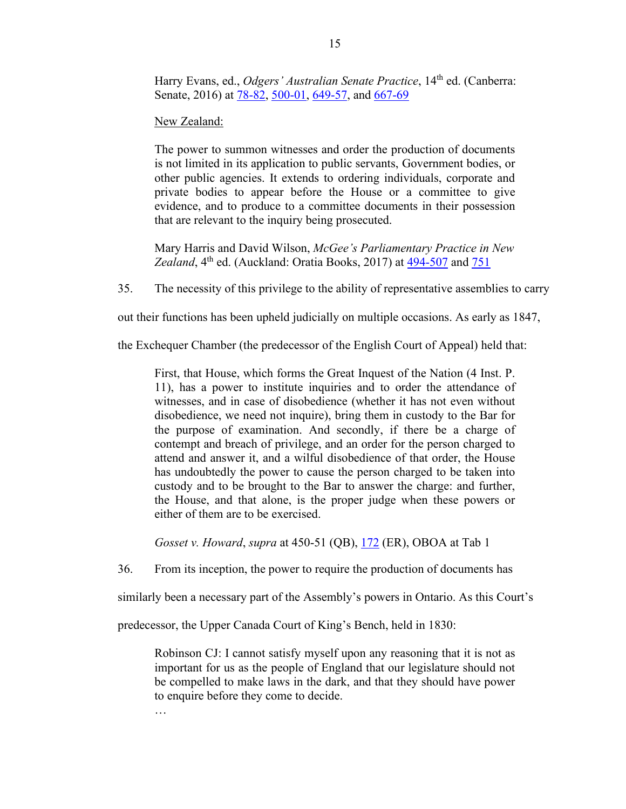Harry Evans, ed., *Odgers' Australian Senate Practice*, 14<sup>th</sup> ed. (Canberra: Senate, 2016) at [78-82,](https://www.aph.gov.au/About_Parliament/Senate/Powers_practice_n_procedures/Odgers_Australian_Senate_Practice/Chapter_02#h09.2) [500-01,](https://www.aph.gov.au/About_Parliament/Senate/Powers_practice_n_procedures/Odgers_Australian_Senate_Practice/Chapter_16#h12.1) [649-57,](https://www.aph.gov.au/About_Parliament/Senate/Powers_practice_n_procedures/Odgers_Australian_Senate_Practice/Chapter_19#h04.4.2) and [667-69](https://www.aph.gov.au/About_Parliament/Senate/Powers_practice_n_procedures/Odgers_Australian_Senate_Practice/Chapter_19#h04.5.1.2)

#### New Zealand:

The power to summon witnesses and order the production of documents is not limited in its application to public servants, Government bodies, or other public agencies. It extends to ordering individuals, corporate and private bodies to appear before the House or a committee to give evidence, and to produce to a committee documents in their possession that are relevant to the inquiry being prosecuted.

Mary Harris and David Wilson, *McGee's Parliamentary Practice in New*  Zealand, 4<sup>th</sup> ed. (Auckland: Oratia Books, 2017) at [494-507](https://www.parliament.nz/en/visit-and-learn/how-parliament-works/parliamentary-practice-in-new-zealand/chapter-29-inquiries/) and [751](https://www.parliament.nz/en/visit-and-learn/how-parliament-works/parliamentary-practice-in-new-zealand/chapter-45-types-of-privilege/)

35. The necessity of this privilege to the ability of representative assemblies to carry

out their functions has been upheld judicially on multiple occasions. As early as 1847,

the Exchequer Chamber (the predecessor of the English Court of Appeal) held that:

First, that House, which forms the Great Inquest of the Nation (4 Inst. P. 11), has a power to institute inquiries and to order the attendance of witnesses, and in case of disobedience (whether it has not even without disobedience, we need not inquire), bring them in custody to the Bar for the purpose of examination. And secondly, if there be a charge of contempt and breach of privilege, and an order for the person charged to attend and answer it, and a wilful disobedience of that order, the House has undoubtedly the power to cause the person charged to be taken into custody and to be brought to the Bar to answer the charge: and further, the House, and that alone, is the proper judge when these powers or either of them are to be exercised.

*Gosset v. Howard*, *supra* at 450-51 (QB), [172](https://heinonline.org/HOL/Page?collection=engrep&handle=hein.engrep/engrf0116&id=176&men_tab=srchresults) (ER), OBOA at Tab 1

36. From its inception, the power to require the production of documents has

similarly been a necessary part of the Assembly's powers in Ontario. As this Court's

predecessor, the Upper Canada Court of King's Bench, held in 1830:

Robinson CJ: I cannot satisfy myself upon any reasoning that it is not as important for us as the people of England that our legislature should not be compelled to make laws in the dark, and that they should have power to enquire before they come to decide.

…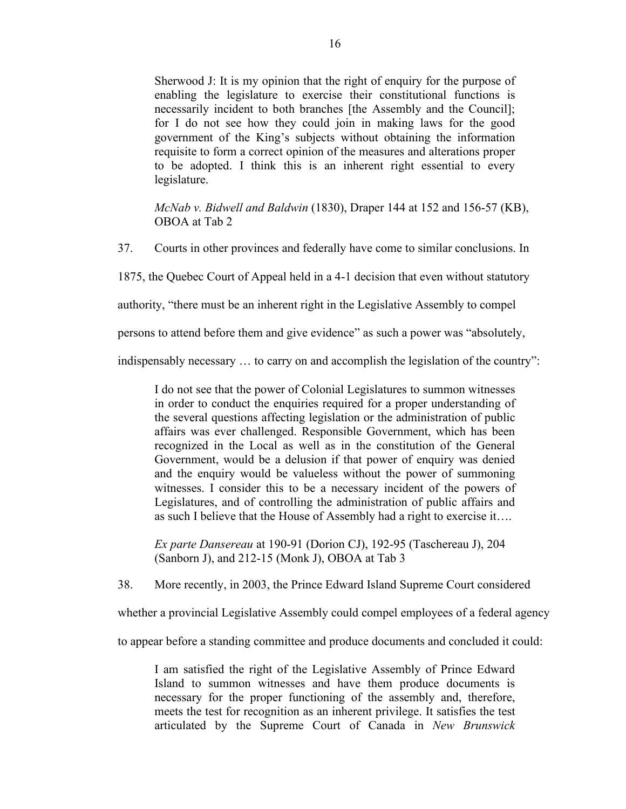Sherwood J: It is my opinion that the right of enquiry for the purpose of enabling the legislature to exercise their constitutional functions is necessarily incident to both branches [the Assembly and the Council]; for I do not see how they could join in making laws for the good government of the King's subjects without obtaining the information requisite to form a correct opinion of the measures and alterations proper to be adopted. I think this is an inherent right essential to every legislature.

*McNab v. Bidwell and Baldwin* (1830), Draper 144 at 152 and 156-57 (KB), OBOA at Tab 2

37. Courts in other provinces and federally have come to similar conclusions. In

1875, the Quebec Court of Appeal held in a 4-1 decision that even without statutory

authority, "there must be an inherent right in the Legislative Assembly to compel

persons to attend before them and give evidence" as such a power was "absolutely,

indispensably necessary … to carry on and accomplish the legislation of the country":

I do not see that the power of Colonial Legislatures to summon witnesses in order to conduct the enquiries required for a proper understanding of the several questions affecting legislation or the administration of public affairs was ever challenged. Responsible Government, which has been recognized in the Local as well as in the constitution of the General Government, would be a delusion if that power of enquiry was denied and the enquiry would be valueless without the power of summoning witnesses. I consider this to be a necessary incident of the powers of Legislatures, and of controlling the administration of public affairs and as such I believe that the House of Assembly had a right to exercise it….

*Ex parte Dansereau* at 190-91 (Dorion CJ), 192-95 (Taschereau J), 204 (Sanborn J), and 212-15 (Monk J), OBOA at Tab 3

38. More recently, in 2003, the Prince Edward Island Supreme Court considered

whether a provincial Legislative Assembly could compel employees of a federal agency

to appear before a standing committee and produce documents and concluded it could:

I am satisfied the right of the Legislative Assembly of Prince Edward Island to summon witnesses and have them produce documents is necessary for the proper functioning of the assembly and, therefore, meets the test for recognition as an inherent privilege. It satisfies the test articulated by the Supreme Court of Canada in *New Brunswick*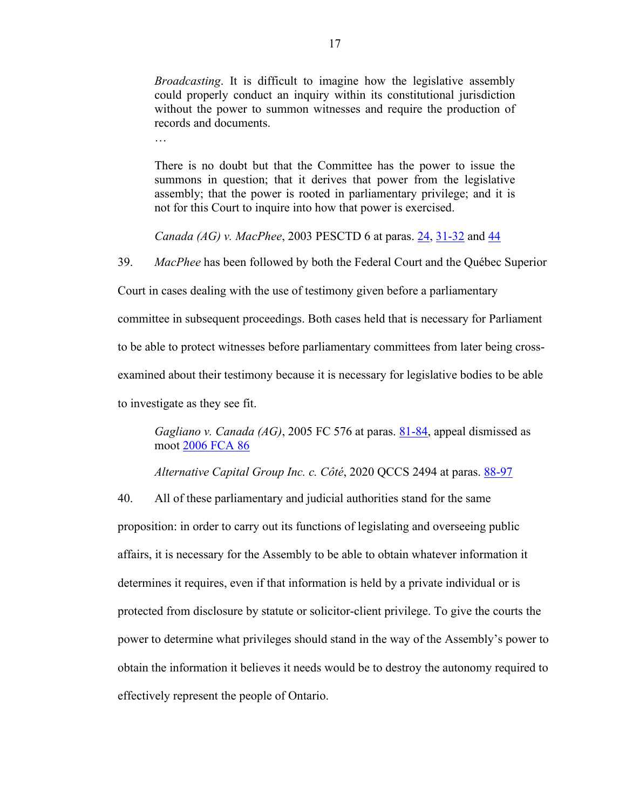*Broadcasting*. It is difficult to imagine how the legislative assembly could properly conduct an inquiry within its constitutional jurisdiction without the power to summon witnesses and require the production of records and documents.

…

There is no doubt but that the Committee has the power to issue the summons in question; that it derives that power from the legislative assembly; that the power is rooted in parliamentary privilege; and it is not for this Court to inquire into how that power is exercised.

*Canada (AG) v. MacPhee*, 2003 PESCTD 6 at paras. [24,](https://www.canlii.org/en/pe/pesctd/doc/2003/2003pesctd6/2003pesctd6.html?autocompleteStr=2003%20PESCTD%206&autocompletePos=1#par24) [31-32](https://www.canlii.org/en/pe/pesctd/doc/2003/2003pesctd6/2003pesctd6.html?autocompleteStr=2003%20PESCTD%206&autocompletePos=1#par31) and [44](https://www.canlii.org/en/pe/pesctd/doc/2003/2003pesctd6/2003pesctd6.html?autocompleteStr=2003%20PESCTD%206&autocompletePos=1#par44)

39. *MacPhee* has been followed by both the Federal Court and the Québec Superior Court in cases dealing with the use of testimony given before a parliamentary committee in subsequent proceedings. Both cases held that is necessary for Parliament to be able to protect witnesses before parliamentary committees from later being crossexamined about their testimony because it is necessary for legislative bodies to be able to investigate as they see fit.

*Gagliano v. Canada (AG)*, 2005 FC 576 at paras. [81-84,](https://www.canlii.org/en/ca/fct/doc/2005/2005fc576/2005fc576.html?autocompleteStr=2005%20FC%20576&autocompletePos=1#par81) appeal dismissed as moot [2006 FCA 86](https://www.canlii.org/en/ca/fca/doc/2006/2006fca86/2006fca86.html)

*Alternative Capital Group Inc. c. Côté*, 2020 QCCS 2494 at paras. [88-97](https://www.canlii.org/fr/qc/qccs/doc/2020/2020qccs2494/2020qccs2494.html?autocompleteStr=2020%20QCCS%202494&autocompletePos=1#par88)

40. All of these parliamentary and judicial authorities stand for the same proposition: in order to carry out its functions of legislating and overseeing public affairs, it is necessary for the Assembly to be able to obtain whatever information it determines it requires, even if that information is held by a private individual or is protected from disclosure by statute or solicitor-client privilege. To give the courts the power to determine what privileges should stand in the way of the Assembly's power to obtain the information it believes it needs would be to destroy the autonomy required to effectively represent the people of Ontario.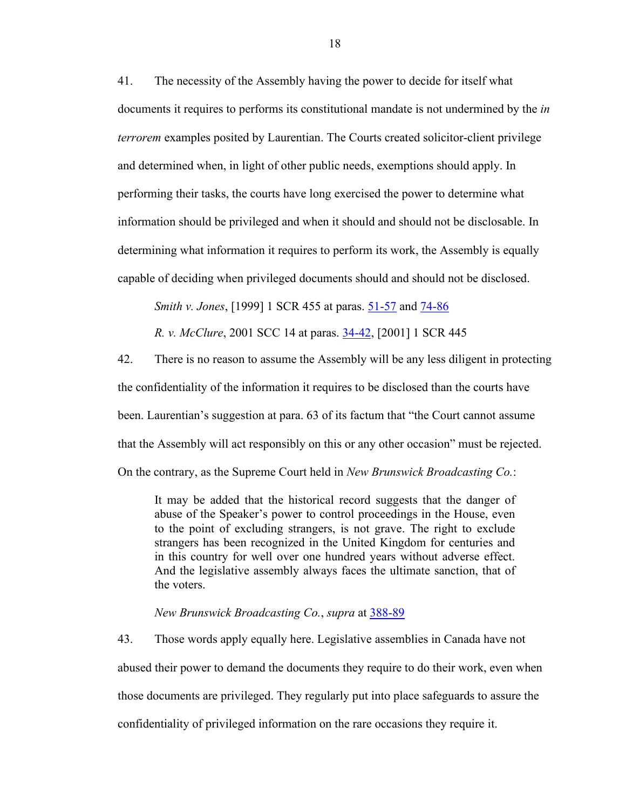41. The necessity of the Assembly having the power to decide for itself what documents it requires to performs its constitutional mandate is not undermined by the *in terrorem* examples posited by Laurentian. The Courts created solicitor-client privilege and determined when, in light of other public needs, exemptions should apply. In performing their tasks, the courts have long exercised the power to determine what information should be privileged and when it should and should not be disclosable. In determining what information it requires to perform its work, the Assembly is equally capable of deciding when privileged documents should and should not be disclosed.

*Smith v. Jones*, [1999] 1 SCR 455 at paras. [51-57](https://www.canlii.org/en/ca/scc/doc/1999/1999canlii674/1999canlii674.html?autocompleteStr=smith%20v%20jones&autocompletePos=1#par51) and [74-86](https://www.canlii.org/en/ca/scc/doc/1999/1999canlii674/1999canlii674.html?autocompleteStr=smith%20v%20jones&autocompletePos=1#par74)

*R. v. McClure*, 2001 SCC 14 at paras. [34-42,](https://www.canlii.org/en/ca/scc/doc/2001/2001scc14/2001scc14.html?autocompleteStr=2001%20SCC%2014%20&autocompletePos=1#par34) [2001] 1 SCR 445

42. There is no reason to assume the Assembly will be any less diligent in protecting the confidentiality of the information it requires to be disclosed than the courts have been. Laurentian's suggestion at para. 63 of its factum that "the Court cannot assume that the Assembly will act responsibly on this or any other occasion" must be rejected. On the contrary, as the Supreme Court held in *New Brunswick Broadcasting Co.*:

It may be added that the historical record suggests that the danger of abuse of the Speaker's power to control proceedings in the House, even to the point of excluding strangers, is not grave. The right to exclude strangers has been recognized in the United Kingdom for centuries and in this country for well over one hundred years without adverse effect. And the legislative assembly always faces the ultimate sanction, that of the voters.

*New Brunswick Broadcasting Co.*, *supra* at [388-89](https://www.canlii.org/en/ca/scc/doc/1993/1993canlii153/1993canlii153.pdf#p388)

43. Those words apply equally here. Legislative assemblies in Canada have not abused their power to demand the documents they require to do their work, even when those documents are privileged. They regularly put into place safeguards to assure the confidentiality of privileged information on the rare occasions they require it.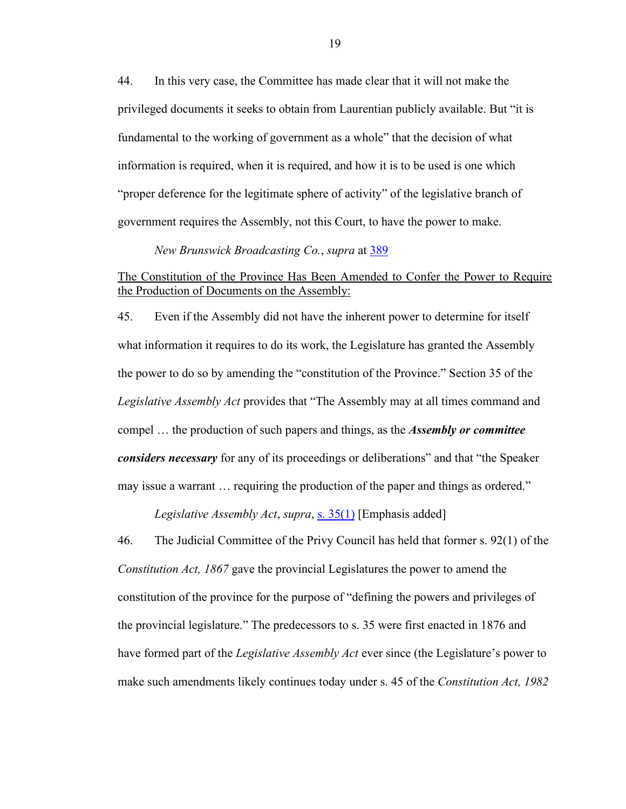44. In this very case, the Committee has made clear that it will not make the privileged documents it seeks to obtain from Laurentian publicly available. But "it is fundamental to the working of government as a whole" that the decision of what information is required, when it is required, and how it is to be used is one which "proper deference for the legitimate sphere of activity" of the legislative branch of government requires the Assembly, not this Court, to have the power to make.

#### *New Brunswick Broadcasting Co.*, *supra* at [389](https://www.canlii.org/en/ca/scc/doc/1993/1993canlii153/1993canlii153.pdf#p389)

## The Constitution of the Province Has Been Amended to Confer the Power to Require the Production of Documents on the Assembly:

45. Even if the Assembly did not have the inherent power to determine for itself what information it requires to do its work, the Legislature has granted the Assembly the power to do so by amending the "constitution of the Province." Section 35 of the *Legislative Assembly Act* provides that "The Assembly may at all times command and compel … the production of such papers and things, as the *Assembly or committee considers necessary* for any of its proceedings or deliberations" and that "the Speaker may issue a warrant … requiring the production of the paper and things as ordered."

*Legislative Assembly Act*, *supra*, [s. 35\(1\)](https://www.ontario.ca/laws/statute/90l10#BK32) [Emphasis added]

46. The Judicial Committee of the Privy Council has held that former s. 92(1) of the *Constitution Act, 1867* gave the provincial Legislatures the power to amend the constitution of the province for the purpose of "defining the powers and privileges of the provincial legislature." The predecessors to s. 35 were first enacted in 1876 and have formed part of the *Legislative Assembly Act* ever since (the Legislature's power to make such amendments likely continues today under s. 45 of the *Constitution Act, 1982*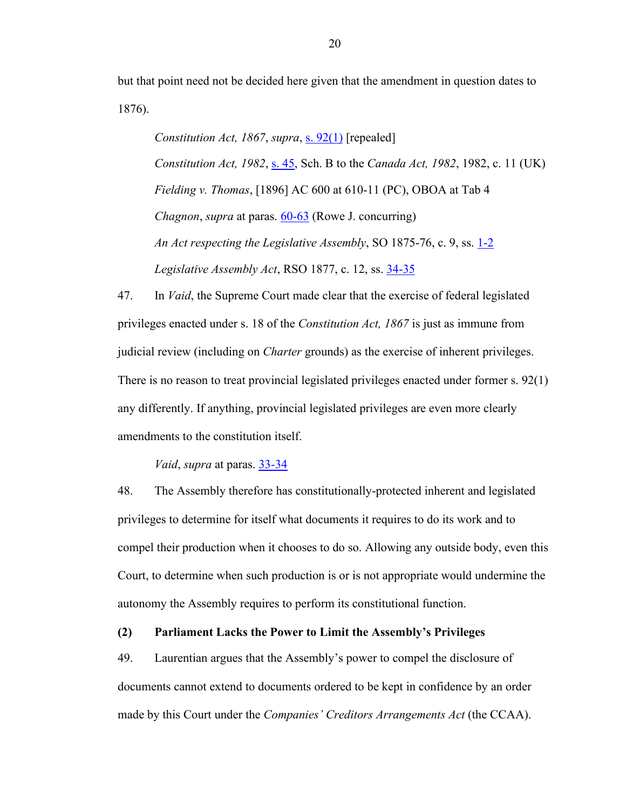but that point need not be decided here given that the amendment in question dates to 1876).

*Constitution Act, 1867*, *supra*, [s. 92\(1\)](https://www.canlii.org/en/ca/laws/stat/30---31-vict-c-3/latest/30---31-vict-c-3.html?autocompleteStr=constitu&autocompletePos=2#sec92) [repealed] *Constitution Act, 1982*, [s. 45,](https://www.canlii.org/en/ca/laws/stat/schedule-b-to-the-canada-act-1982-uk-1982-c-11/latest/schedule-b-to-the-canada-act-1982-uk-1982-c-11.html?autocompleteStr=constitution%20act&autocompletePos=1#sec45) Sch. B to the *Canada Act, 1982*, 1982, c. 11 (UK) *Fielding v. Thomas*, [1896] AC 600 at 610-11 (PC), OBOA at Tab 4 *Chagnon, supra* at paras. [60-63](https://www.canlii.org/en/ca/scc/doc/2018/2018scc39/2018scc39.html?autocompleteStr=chagnon&autocompletePos=4#par60) (Rowe J. concurring) An Act respecting the Legislative Assembly, SO 1875-76, c. 9, ss. [1-2](https://heinonline.org/HOL/Page?handle=hein.psc/statont0008&id=49&collection=psc&index=psc/statont) *Legislative Assembly Act*, RSO 1877, c. 12, ss. [34-35](https://heinonline.org/HOL/Page?collection=psc&handle=hein.psc/revontvii0001&id=253&men_tab=srchresults)

47. In *Vaid*, the Supreme Court made clear that the exercise of federal legislated privileges enacted under s. 18 of the *Constitution Act, 1867* is just as immune from judicial review (including on *Charter* grounds) as the exercise of inherent privileges. There is no reason to treat provincial legislated privileges enacted under former s. 92(1) any differently. If anything, provincial legislated privileges are even more clearly amendments to the constitution itself.

*Vaid*, *supra* at paras. [33-34](https://www.canlii.org/en/ca/scc/doc/2005/2005scc30/2005scc30.html?autocompleteStr=2005%20scc%2030&autocompletePos=1#par33)

48. The Assembly therefore has constitutionally-protected inherent and legislated privileges to determine for itself what documents it requires to do its work and to compel their production when it chooses to do so. Allowing any outside body, even this Court, to determine when such production is or is not appropriate would undermine the autonomy the Assembly requires to perform its constitutional function.

#### <span id="page-22-0"></span>**(2) Parliament Lacks the Power to Limit the Assembly's Privileges**

49. Laurentian argues that the Assembly's power to compel the disclosure of documents cannot extend to documents ordered to be kept in confidence by an order made by this Court under the *Companies' Creditors Arrangements Act* (the CCAA).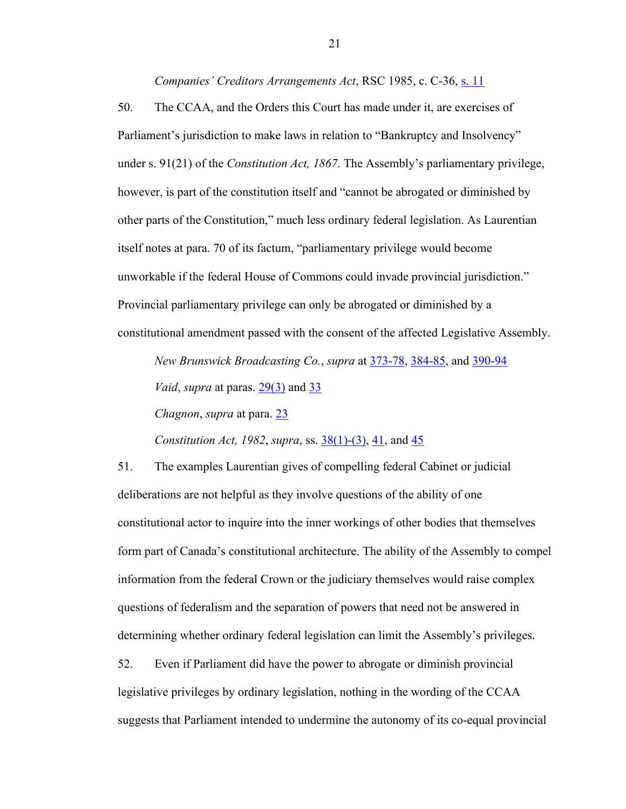*Companies' Creditors Arrangements Act*, RSC 1985, c. C-36, [s. 11](https://www.canlii.org/en/ca/laws/stat/rsc-1985-c-c-36/latest/rsc-1985-c-c-36.html?autocompleteStr=companies&autocompletePos=2#sec11)

50. The CCAA, and the Orders this Court has made under it, are exercises of Parliament's jurisdiction to make laws in relation to "Bankruptcy and Insolvency" under s. 91(21) of the *Constitution Act, 1867*. The Assembly's parliamentary privilege, however, is part of the constitution itself and "cannot be abrogated or diminished by other parts of the Constitution," much less ordinary federal legislation. As Laurentian itself notes at para. 70 of its factum, "parliamentary privilege would become unworkable if the federal House of Commons could invade provincial jurisdiction." Provincial parliamentary privilege can only be abrogated or diminished by a constitutional amendment passed with the consent of the affected Legislative Assembly.

*New Brunswick Broadcasting Co.*, *supra* at [373-78,](https://www.canlii.org/en/ca/scc/doc/1993/1993canlii153/1993canlii153.pdf#p373) [384-85,](https://www.canlii.org/en/ca/scc/doc/1993/1993canlii153/1993canlii153.pdf#p384) and [390-94](https://www.canlii.org/en/ca/scc/doc/1993/1993canlii153/1993canlii153.pdf#p390) *Vaid*, *supra* at paras. [29\(3\)](https://www.canlii.org/en/ca/scc/doc/2005/2005scc30/2005scc30.html?autocompleteStr=2005%20scc%2030&autocompletePos=1#par29) and [33](https://www.canlii.org/en/ca/scc/doc/2005/2005scc30/2005scc30.html?autocompleteStr=2005%20scc%2030&autocompletePos=1#par33)

*Chagnon*, *supra* at para. [23](https://www.canlii.org/en/ca/scc/doc/2018/2018scc39/2018scc39.html?autocompleteStr=chagnon&autocompletePos=4#par23)

*Constitution Act, 1982, supra, ss.* [38\(1\)-\(3\),](https://www.canlii.org/en/ca/laws/stat/schedule-b-to-the-canada-act-1982-uk-1982-c-11/latest/schedule-b-to-the-canada-act-1982-uk-1982-c-11.html?autocompleteStr=constitution%20act&autocompletePos=1#sec38) [41,](https://www.canlii.org/en/ca/laws/stat/schedule-b-to-the-canada-act-1982-uk-1982-c-11/latest/schedule-b-to-the-canada-act-1982-uk-1982-c-11.html?autocompleteStr=constitution%20act&autocompletePos=1#sec41) and [45](https://www.canlii.org/en/ca/laws/stat/schedule-b-to-the-canada-act-1982-uk-1982-c-11/latest/schedule-b-to-the-canada-act-1982-uk-1982-c-11.html?autocompleteStr=constitution%20act&autocompletePos=1#sec45)

51. The examples Laurentian gives of compelling federal Cabinet or judicial deliberations are not helpful as they involve questions of the ability of one constitutional actor to inquire into the inner workings of other bodies that themselves form part of Canada's constitutional architecture. The ability of the Assembly to compel information from the federal Crown or the judiciary themselves would raise complex questions of federalism and the separation of powers that need not be answered in determining whether ordinary federal legislation can limit the Assembly's privileges.

52. Even if Parliament did have the power to abrogate or diminish provincial legislative privileges by ordinary legislation, nothing in the wording of the CCAA suggests that Parliament intended to undermine the autonomy of its co-equal provincial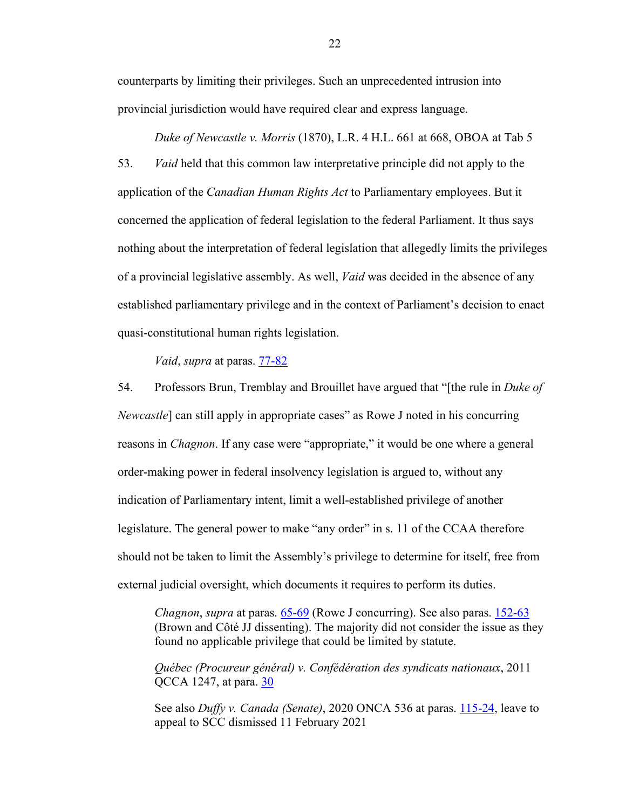counterparts by limiting their privileges. Such an unprecedented intrusion into provincial jurisdiction would have required clear and express language.

*Duke of Newcastle v. Morris* (1870), L.R. 4 H.L. 661 at 668, OBOA at Tab 5 53. *Vaid* held that this common law interpretative principle did not apply to the application of the *Canadian Human Rights Act* to Parliamentary employees. But it concerned the application of federal legislation to the federal Parliament. It thus says nothing about the interpretation of federal legislation that allegedly limits the privileges of a provincial legislative assembly. As well, *Vaid* was decided in the absence of any established parliamentary privilege and in the context of Parliament's decision to enact quasi-constitutional human rights legislation.

*Vaid*, *supra* at paras. [77-82](https://www.canlii.org/en/ca/scc/doc/2005/2005scc30/2005scc30.html?autocompleteStr=2005%20scc%2030&autocompletePos=1#par77)

54. Professors Brun, Tremblay and Brouillet have argued that "[the rule in *Duke of Newcastle*] can still apply in appropriate cases" as Rowe J noted in his concurring reasons in *Chagnon*. If any case were "appropriate," it would be one where a general order-making power in federal insolvency legislation is argued to, without any indication of Parliamentary intent, limit a well-established privilege of another legislature. The general power to make "any order" in s. 11 of the CCAA therefore should not be taken to limit the Assembly's privilege to determine for itself, free from external judicial oversight, which documents it requires to perform its duties.

*Chagnon*, *supra* at paras. [65-69](https://www.canlii.org/en/ca/scc/doc/2018/2018scc39/2018scc39.html?autocompleteStr=chagnon&autocompletePos=4#par65) (Rowe J concurring). See also paras. [152-63](https://www.canlii.org/en/ca/scc/doc/2018/2018scc39/2018scc39.html?autocompleteStr=chagnon&autocompletePos=4#par152) (Brown and Côté JJ dissenting). The majority did not consider the issue as they found no applicable privilege that could be limited by statute.

*Québec (Procureur général) v. Confédération des syndicats nationaux*, 2011 QCCA 1247, at para. [30](https://www.canlii.org/en/qc/qcca/doc/2011/2011qcca1247/2011qcca1247.html#par30) 

See also *Duffy v. Canada (Senate)*, 2020 ONCA 536 at paras. [115-24,](https://www.canlii.org/en/on/onca/doc/2020/2020onca536/2020onca536.html?autocompleteStr=2020%20onca%20536&autocompletePos=1) leave to appeal to SCC dismissed 11 February 2021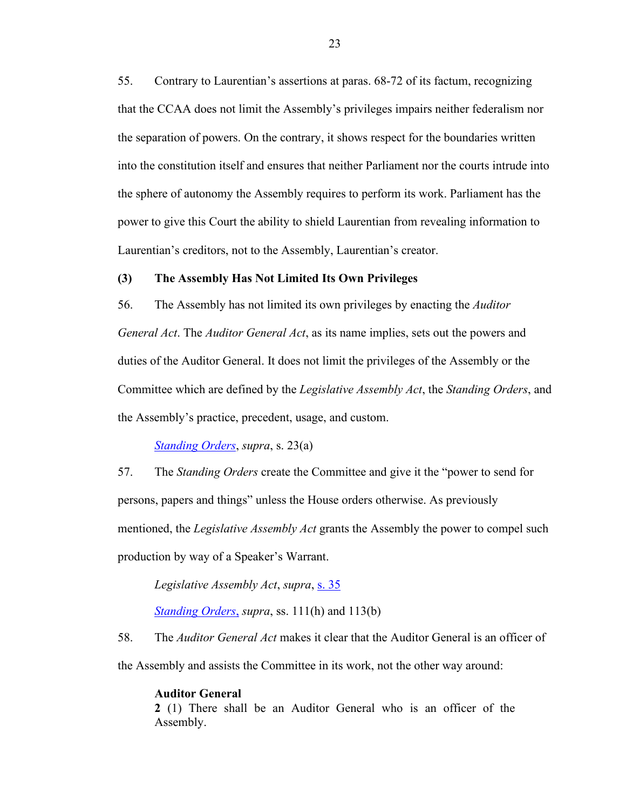55. Contrary to Laurentian's assertions at paras. 68-72 of its factum, recognizing that the CCAA does not limit the Assembly's privileges impairs neither federalism nor the separation of powers. On the contrary, it shows respect for the boundaries written into the constitution itself and ensures that neither Parliament nor the courts intrude into the sphere of autonomy the Assembly requires to perform its work. Parliament has the power to give this Court the ability to shield Laurentian from revealing information to Laurentian's creditors, not to the Assembly, Laurentian's creator.

#### <span id="page-25-0"></span>**(3) The Assembly Has Not Limited Its Own Privileges**

56. The Assembly has not limited its own privileges by enacting the *Auditor General Act*. The *Auditor General Act*, as its name implies, sets out the powers and duties of the Auditor General. It does not limit the privileges of the Assembly or the Committee which are defined by the *Legislative Assembly Act*, the *Standing Orders*, and the Assembly's practice, precedent, usage, and custom.

#### *[Standing Orders](https://www.ola.org/en/legislative-business/standing-orders)*, *supra*, s. 23(a)

57. The *Standing Orders* create the Committee and give it the "power to send for persons, papers and things" unless the House orders otherwise. As previously mentioned, the *Legislative Assembly Act* grants the Assembly the power to compel such production by way of a Speaker's Warrant.

*Legislative Assembly Act*, *supra*, [s. 35](https://www.ontario.ca/laws/statute/90l10#BK32)

*[Standing Orders](https://www.ola.org/en/legislative-business/standing-orders)*, *supra*, ss. 111(h) and 113(b)

58. The *Auditor General Act* makes it clear that the Auditor General is an officer of the Assembly and assists the Committee in its work, not the other way around:

#### **Auditor General**

**2** (1) There shall be an Auditor General who is an officer of the Assembly.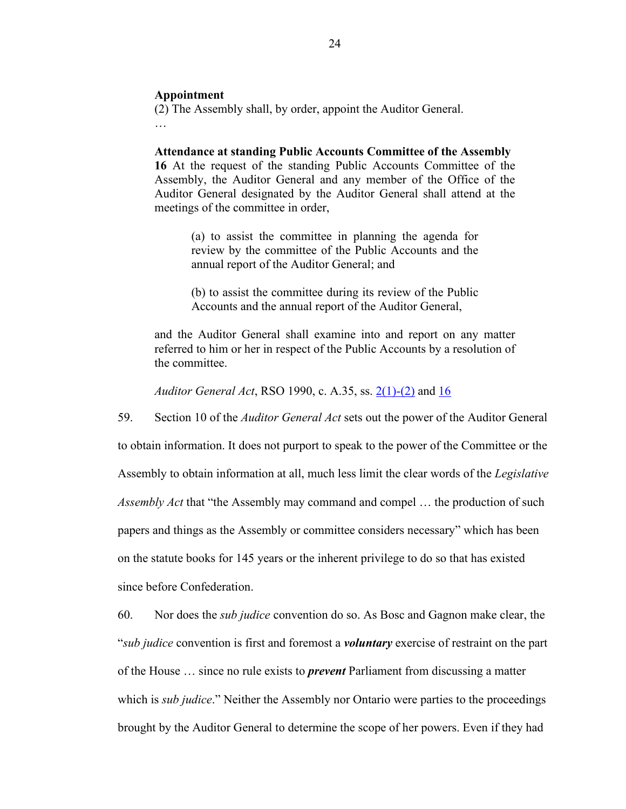#### **Appointment**

(2) The Assembly shall, by order, appoint the Auditor General. …

**Attendance at standing Public Accounts Committee of the Assembly 16** At the request of the standing Public Accounts Committee of the Assembly, the Auditor General and any member of the Office of the Auditor General designated by the Auditor General shall attend at the meetings of the committee in order,

> (a) to assist the committee in planning the agenda for review by the committee of the Public Accounts and the annual report of the Auditor General; and

> (b) to assist the committee during its review of the Public Accounts and the annual report of the Auditor General,

and the Auditor General shall examine into and report on any matter referred to him or her in respect of the Public Accounts by a resolution of the committee.

*Auditor General Act*, RSO 1990, c. A.35, ss. [2\(1\)-\(2\)](https://www.ontario.ca/laws/statute/90a35#BK2) and [16](https://www.ontario.ca/laws/statute/90a35#BK28)

59. Section 10 of the *Auditor General Act* sets out the power of the Auditor General to obtain information. It does not purport to speak to the power of the Committee or the Assembly to obtain information at all, much less limit the clear words of the *Legislative Assembly Act* that "the Assembly may command and compel ... the production of such papers and things as the Assembly or committee considers necessary" which has been on the statute books for 145 years or the inherent privilege to do so that has existed since before Confederation.

60. Nor does the *sub judice* convention do so. As Bosc and Gagnon make clear, the "*sub judice* convention is first and foremost a *voluntary* exercise of restraint on the part of the House … since no rule exists to *prevent* Parliament from discussing a matter which is *sub judice*." Neither the Assembly nor Ontario were parties to the proceedings brought by the Auditor General to determine the scope of her powers. Even if they had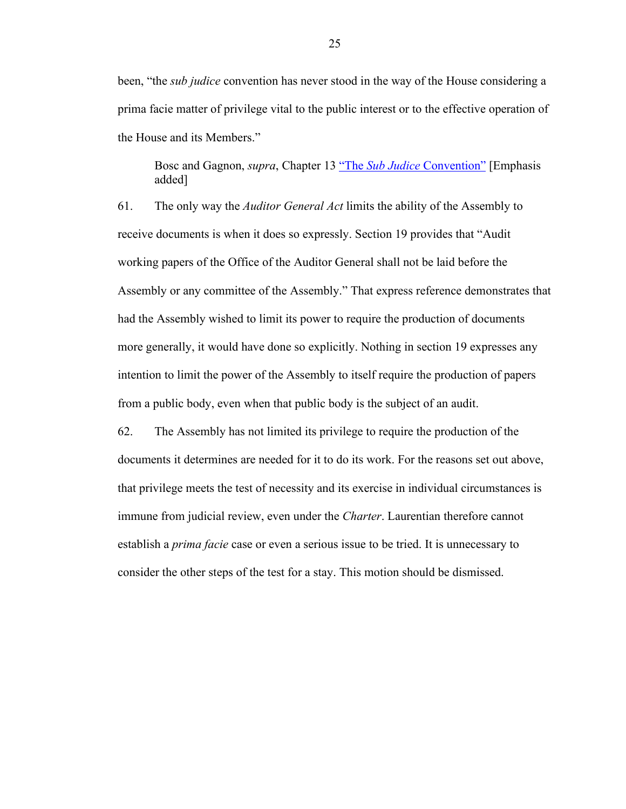been, "the *sub judice* convention has never stood in the way of the House considering a prima facie matter of privilege vital to the public interest or to the effective operation of the House and its Members."

Bosc and Gagnon, *supra*, Chapter 13 "The *Sub Judice* [Convention"](https://www.ourcommons.ca/about/procedureandpractice3rdedition/ch_13_3-e.html#13-3-9) [Emphasis added]

61. The only way the *Auditor General Act* limits the ability of the Assembly to receive documents is when it does so expressly. Section 19 provides that "Audit working papers of the Office of the Auditor General shall not be laid before the Assembly or any committee of the Assembly." That express reference demonstrates that had the Assembly wished to limit its power to require the production of documents more generally, it would have done so explicitly. Nothing in section 19 expresses any intention to limit the power of the Assembly to itself require the production of papers from a public body, even when that public body is the subject of an audit.

<span id="page-27-0"></span>62. The Assembly has not limited its privilege to require the production of the documents it determines are needed for it to do its work. For the reasons set out above, that privilege meets the test of necessity and its exercise in individual circumstances is immune from judicial review, even under the *Charter*. Laurentian therefore cannot establish a *prima facie* case or even a serious issue to be tried. It is unnecessary to consider the other steps of the test for a stay. This motion should be dismissed.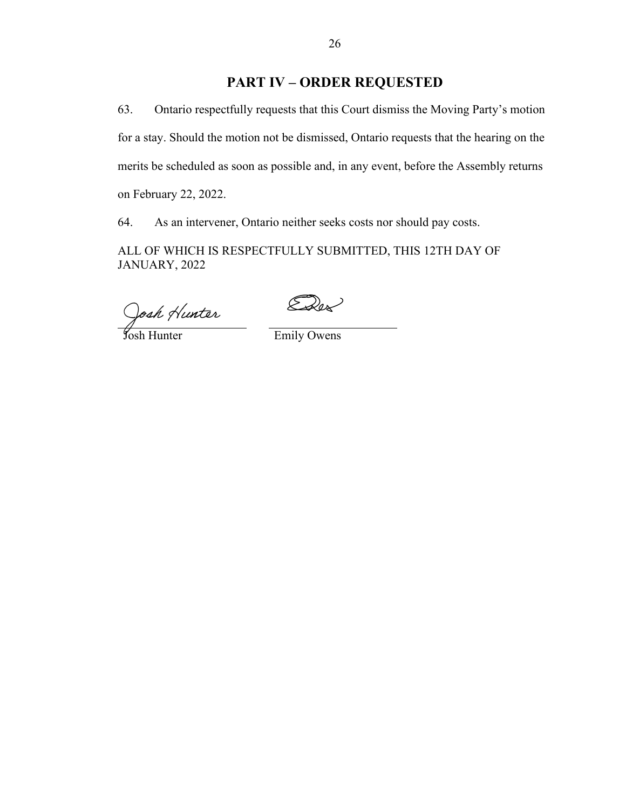## **PART IV – ORDER REQUESTED**

63. Ontario respectfully requests that this Court dismiss the Moving Party's motion for a stay. Should the motion not be dismissed, Ontario requests that the hearing on the merits be scheduled as soon as possible and, in any event, before the Assembly returns on February 22, 2022.

64. As an intervener, Ontario neither seeks costs nor should pay costs.

ALL OF WHICH IS RESPECTFULLY SUBMITTED, THIS 12TH DAY OF JANUARY, 2022

Josh Hunter Emily Owens

*Ener*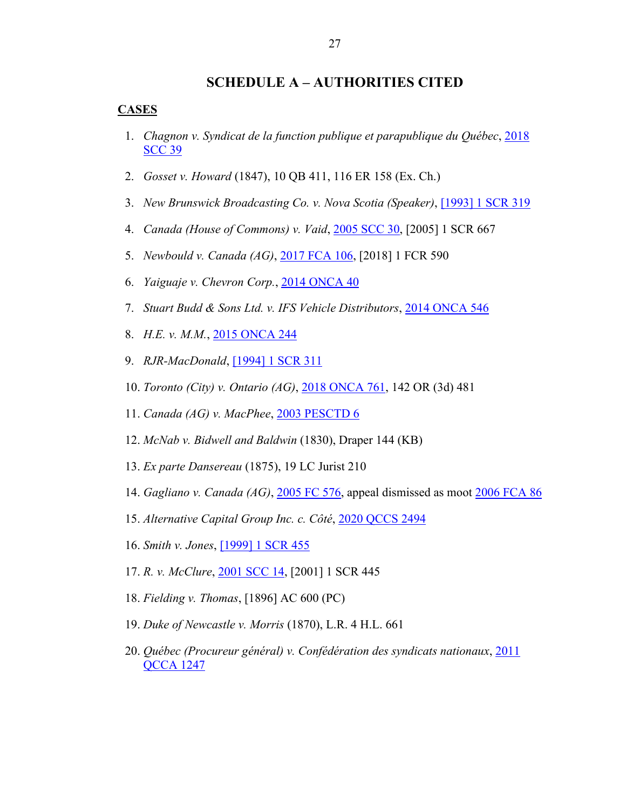#### **SCHEDULE A – AUTHORITIES CITED**

#### <span id="page-29-0"></span>**CASES**

- 1. *Chagnon v. Syndicat de la function publique et parapublique du Québec*, [2018](https://www.canlii.org/en/ca/scc/doc/2018/2018scc39/2018scc39.html?autocompleteStr=chagnon&autocompletePos=4) [SCC 39](https://www.canlii.org/en/ca/scc/doc/2018/2018scc39/2018scc39.html?autocompleteStr=chagnon&autocompletePos=4)
- 2. *Gosset v. Howard* (1847), 10 QB 411, 116 ER 158 (Ex. Ch.)
- 3. *New Brunswick Broadcasting Co. v. Nova Scotia (Speaker)*, [\[1993\] 1 SCR 319](https://www.canlii.org/en/ca/scc/doc/1993/1993canlii153/1993canlii153.pdf)
- 4. *Canada (House of Commons) v. Vaid*, [2005 SCC 30,](https://www.canlii.org/en/ca/scc/doc/2005/2005scc30/2005scc30.html?autocompleteStr=2005%20scc%2030&autocompletePos=1) [2005] 1 SCR 667
- 5. *Newbould v. Canada (AG)*, [2017 FCA 106,](https://www.canlii.org/en/ca/fca/doc/2017/2017fca106/2017fca106.html?autocompleteStr=2017%20FCA%20106%20&autocompletePos=1#document) [2018] 1 FCR 590
- 6. *Yaiguaje v. Chevron Corp.*, [2014 ONCA 40](https://www.canlii.org/en/on/onca/doc/2014/2014onca40/2014onca40.html?autocompleteStr=2014%20ONCA%2040&autocompletePos=1)
- 7. *Stuart Budd & Sons Ltd. v. IFS Vehicle Distributors*, [2014 ONCA 546](https://www.canlii.org/en/on/onca/doc/2014/2014onca546/2014onca546.html?autocompleteStr=2014%20onca%20546&autocompletePos=1)
- 8. *H.E. v. M.M.*, [2015 ONCA 244](https://www.canlii.org/en/on/onca/doc/2015/2015onca244/2015onca244.html?autocompleteStr=2015%20onca%20244&autocompletePos=1)
- 9. *RJR-MacDonald*, [\[1994\] 1 SCR 311](https://www.canlii.org/en/ca/scc/doc/1994/1994canlii117/1994canlii117.pdf)
- 10. *Toronto (City) v. Ontario (AG)*, [2018 ONCA 761,](https://www.canlii.org/en/on/onca/doc/2018/2018onca761/2018onca761.html?autocompleteStr=2018%20onca%20761&autocompletePos=1) 142 OR (3d) 481
- 11. *Canada (AG) v. MacPhee*, [2003 PESCTD 6](https://www.canlii.org/en/pe/pesctd/doc/2003/2003pesctd6/2003pesctd6.html?autocompleteStr=2003%20PESCTD%206&autocompletePos=1)
- 12. *McNab v. Bidwell and Baldwin* (1830), Draper 144 (KB)
- 13. *Ex parte Dansereau* (1875), 19 LC Jurist 210
- 14. *Gagliano v. Canada (AG)*, [2005 FC 576,](https://www.canlii.org/en/ca/fct/doc/2005/2005fc576/2005fc576.html?autocompleteStr=2005%20FC%20576&autocompletePos=1) appeal dismissed as moot [2006 FCA 86](https://www.canlii.org/en/ca/fca/doc/2006/2006fca86/2006fca86.html)
- 15. *Alternative Capital Group Inc. c. Côté*, [2020 QCCS 2494](https://www.canlii.org/fr/qc/qccs/doc/2020/2020qccs2494/2020qccs2494.html?autocompleteStr=2020%20QCCS%202494&autocompletePos=1)
- 16. *Smith v. Jones*, [\[1999\] 1 SCR 455](https://www.canlii.org/en/ca/scc/doc/1999/1999canlii674/1999canlii674.html?autocompleteStr=smith%20v%20jones&autocompletePos=1)
- 17. *R. v. McClure*, [2001 SCC 14,](https://www.canlii.org/en/ca/scc/doc/2001/2001scc14/2001scc14.html?autocompleteStr=2001%20SCC%2014%20&autocompletePos=1) [2001] 1 SCR 445
- 18. *Fielding v. Thomas*, [1896] AC 600 (PC)
- 19. *Duke of Newcastle v. Morris* (1870), L.R. 4 H.L. 661
- 20. *Québec (Procureur général) v. Confédération des syndicats nationaux*, [2011](https://www.canlii.org/en/qc/qcca/doc/2011/2011qcca1247/2011qcca1247.html) [QCCA 1247](https://www.canlii.org/en/qc/qcca/doc/2011/2011qcca1247/2011qcca1247.html)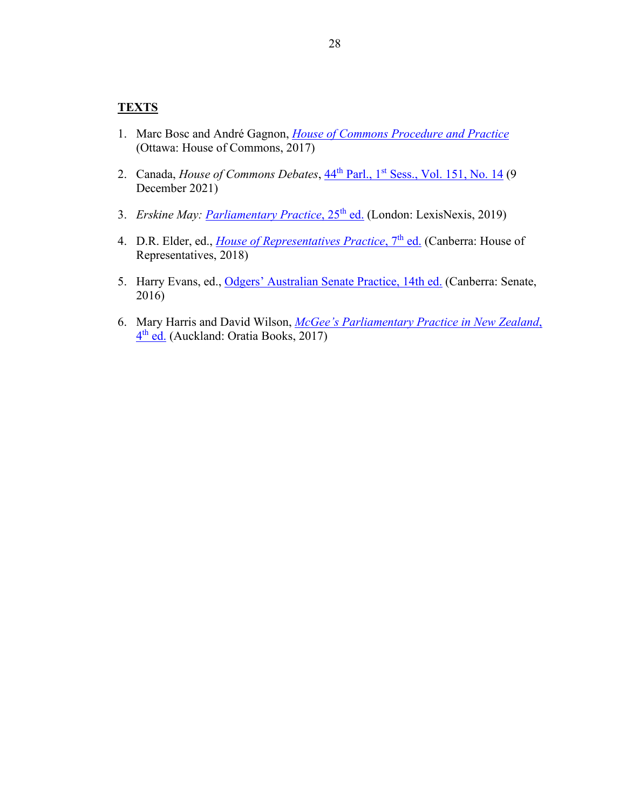#### **TEXTS**

- 1. Marc Bosc and André Gagnon, *[House of Commons Procedure and Practice](https://www.ourcommons.ca/about/procedureandpractice3rdedition/index-e.html)* (Ottawa: House of Commons, 2017)
- 2. Canada, *House of Commons Debates*,  $\frac{44^{th}$  Parl., 1<sup>st</sup> [Sess., Vol. 151, No. 14](https://www.ourcommons.ca/Content/House/441/Debates/014/HAN014-E.PDF) (9) December 2021)
- 3. *Erskine May: [Parliamentary Practice](https://erskinemay.parliament.uk/browse/?part=1&chapter=1)*, 25th ed. (London: LexisNexis, 2019)
- 4. D.R. Elder, ed., *[House of Representatives Practice](https://www.aph.gov.au/About_Parliament/House_of_Representatives/Powers_practice_and_procedure/Practice7/HTML)*, 7<sup>th</sup> ed. (Canberra: House of Representatives, 2018)
- 5. Harry Evans, ed., [Odgers' Australian Senate Practice, 14th ed.](https://www.aph.gov.au/About_Parliament/Senate/Powers_practice_n_procedures/Odgers_Australian_Senate_Practice) (Canberra: Senate, 2016)
- 6. Mary Harris and David Wilson, *[McGee's Parliamentary Practice in New Zealand](https://www.parliament.nz/en/visit-and-learn/how-parliament-works/parliamentary-practice-in-new-zealand/contents/)*, 4<sup>th</sup> [ed.](https://www.parliament.nz/en/visit-and-learn/how-parliament-works/parliamentary-practice-in-new-zealand/contents/) (Auckland: Oratia Books, 2017)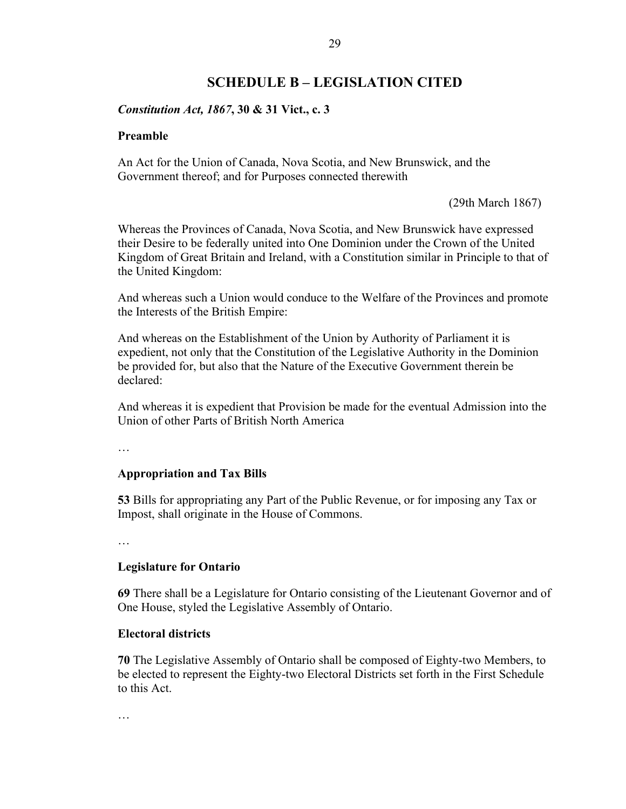## **SCHEDULE B – LEGISLATION CITED**

#### <span id="page-31-0"></span>*Constitution Act, 1867***, 30 & 31 Vict., c. 3**

#### **Preamble**

An Act for the Union of Canada, Nova Scotia, and New Brunswick, and the Government thereof; and for Purposes connected therewith

(29th March 1867)

Whereas the Provinces of Canada, Nova Scotia, and New Brunswick have expressed their Desire to be federally united into One Dominion under the Crown of the United Kingdom of Great Britain and Ireland, with a Constitution similar in Principle to that of the United Kingdom:

And whereas such a Union would conduce to the Welfare of the Provinces and promote the Interests of the British Empire:

And whereas on the Establishment of the Union by Authority of Parliament it is expedient, not only that the Constitution of the Legislative Authority in the Dominion be provided for, but also that the Nature of the Executive Government therein be declared:

And whereas it is expedient that Provision be made for the eventual Admission into the Union of other Parts of British North America

…

### **Appropriation and Tax Bills**

**53** Bills for appropriating any Part of the Public Revenue, or for imposing any Tax or Impost, shall originate in the House of Commons.

…

#### **Legislature for Ontario**

**69** There shall be a Legislature for Ontario consisting of the Lieutenant Governor and of One House, styled the Legislative Assembly of Ontario.

#### **Electoral districts**

**70** The Legislative Assembly of Ontario shall be composed of Eighty-two Members, to be elected to represent the Eighty-two Electoral Districts set forth in the First Schedule to this Act.

…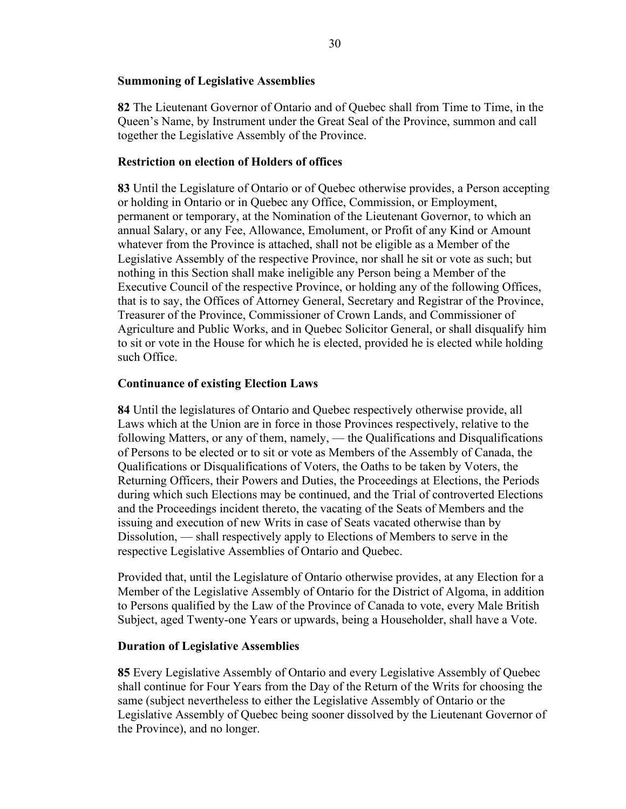#### **Summoning of Legislative Assemblies**

**82** The Lieutenant Governor of Ontario and of Quebec shall from Time to Time, in the Queen's Name, by Instrument under the Great Seal of the Province, summon and call together the Legislative Assembly of the Province.

### **Restriction on election of Holders of offices**

**83** Until the Legislature of Ontario or of Quebec otherwise provides, a Person accepting or holding in Ontario or in Quebec any Office, Commission, or Employment, permanent or temporary, at the Nomination of the Lieutenant Governor, to which an annual Salary, or any Fee, Allowance, Emolument, or Profit of any Kind or Amount whatever from the Province is attached, shall not be eligible as a Member of the Legislative Assembly of the respective Province, nor shall he sit or vote as such; but nothing in this Section shall make ineligible any Person being a Member of the Executive Council of the respective Province, or holding any of the following Offices, that is to say, the Offices of Attorney General, Secretary and Registrar of the Province, Treasurer of the Province, Commissioner of Crown Lands, and Commissioner of Agriculture and Public Works, and in Quebec Solicitor General, or shall disqualify him to sit or vote in the House for which he is elected, provided he is elected while holding such Office.

### **Continuance of existing Election Laws**

**84** Until the legislatures of Ontario and Quebec respectively otherwise provide, all Laws which at the Union are in force in those Provinces respectively, relative to the following Matters, or any of them, namely, — the Qualifications and Disqualifications of Persons to be elected or to sit or vote as Members of the Assembly of Canada, the Qualifications or Disqualifications of Voters, the Oaths to be taken by Voters, the Returning Officers, their Powers and Duties, the Proceedings at Elections, the Periods during which such Elections may be continued, and the Trial of controverted Elections and the Proceedings incident thereto, the vacating of the Seats of Members and the issuing and execution of new Writs in case of Seats vacated otherwise than by Dissolution, — shall respectively apply to Elections of Members to serve in the respective Legislative Assemblies of Ontario and Quebec.

Provided that, until the Legislature of Ontario otherwise provides, at any Election for a Member of the Legislative Assembly of Ontario for the District of Algoma, in addition to Persons qualified by the Law of the Province of Canada to vote, every Male British Subject, aged Twenty-one Years or upwards, being a Householder, shall have a Vote.

#### **Duration of Legislative Assemblies**

**85** Every Legislative Assembly of Ontario and every Legislative Assembly of Quebec shall continue for Four Years from the Day of the Return of the Writs for choosing the same (subject nevertheless to either the Legislative Assembly of Ontario or the Legislative Assembly of Quebec being sooner dissolved by the Lieutenant Governor of the Province), and no longer.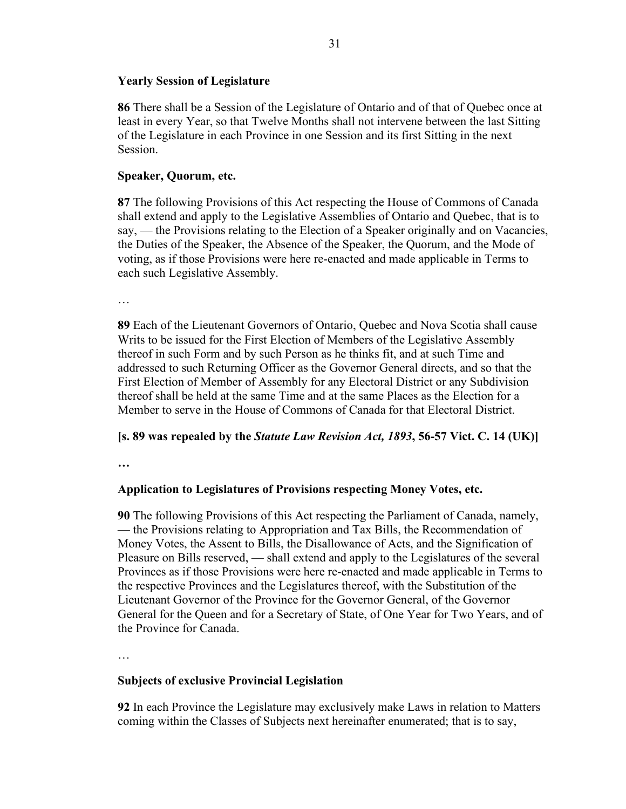#### **Yearly Session of Legislature**

**86** There shall be a Session of the Legislature of Ontario and of that of Quebec once at least in every Year, so that Twelve Months shall not intervene between the last Sitting of the Legislature in each Province in one Session and its first Sitting in the next Session.

#### **Speaker, Quorum, etc.**

**87** The following Provisions of this Act respecting the House of Commons of Canada shall extend and apply to the Legislative Assemblies of Ontario and Quebec, that is to say, — the Provisions relating to the Election of a Speaker originally and on Vacancies, the Duties of the Speaker, the Absence of the Speaker, the Quorum, and the Mode of voting, as if those Provisions were here re-enacted and made applicable in Terms to each such Legislative Assembly.

…

**89** Each of the Lieutenant Governors of Ontario, Quebec and Nova Scotia shall cause Writs to be issued for the First Election of Members of the Legislative Assembly thereof in such Form and by such Person as he thinks fit, and at such Time and addressed to such Returning Officer as the Governor General directs, and so that the First Election of Member of Assembly for any Electoral District or any Subdivision thereof shall be held at the same Time and at the same Places as the Election for a Member to serve in the House of Commons of Canada for that Electoral District.

### **[s. 89 was repealed by the** *Statute Law Revision Act, 1893***, 56-57 Vict. C. 14 (UK)]**

**…** 

### **Application to Legislatures of Provisions respecting Money Votes, etc.**

**90** The following Provisions of this Act respecting the Parliament of Canada, namely, — the Provisions relating to Appropriation and Tax Bills, the Recommendation of Money Votes, the Assent to Bills, the Disallowance of Acts, and the Signification of Pleasure on Bills reserved, — shall extend and apply to the Legislatures of the several Provinces as if those Provisions were here re-enacted and made applicable in Terms to the respective Provinces and the Legislatures thereof, with the Substitution of the Lieutenant Governor of the Province for the Governor General, of the Governor General for the Queen and for a Secretary of State, of One Year for Two Years, and of the Province for Canada.

…

#### **Subjects of exclusive Provincial Legislation**

**92** In each Province the Legislature may exclusively make Laws in relation to Matters coming within the Classes of Subjects next hereinafter enumerated; that is to say,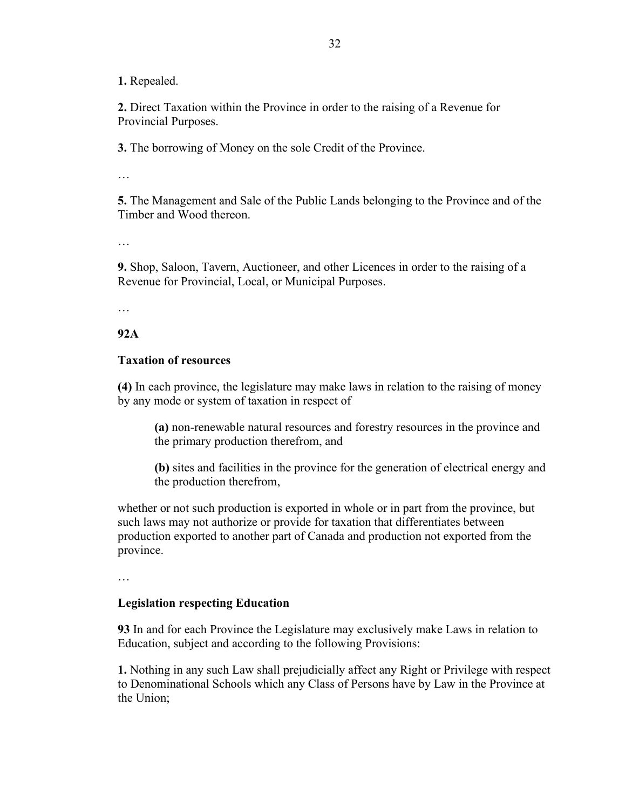**1.** Repealed.

**2.** Direct Taxation within the Province in order to the raising of a Revenue for Provincial Purposes.

**3.** The borrowing of Money on the sole Credit of the Province.

…

**5.** The Management and Sale of the Public Lands belonging to the Province and of the Timber and Wood thereon.

…

**9.** Shop, Saloon, Tavern, Auctioneer, and other Licences in order to the raising of a Revenue for Provincial, Local, or Municipal Purposes.

…

## **92A**

### **Taxation of resources**

**(4)** In each province, the legislature may make laws in relation to the raising of money by any mode or system of taxation in respect of

**(a)** non-renewable natural resources and forestry resources in the province and the primary production therefrom, and

**(b)** sites and facilities in the province for the generation of electrical energy and the production therefrom,

whether or not such production is exported in whole or in part from the province, but such laws may not authorize or provide for taxation that differentiates between production exported to another part of Canada and production not exported from the province.

…

### **Legislation respecting Education**

**93** In and for each Province the Legislature may exclusively make Laws in relation to Education, subject and according to the following Provisions:

**1.** Nothing in any such Law shall prejudicially affect any Right or Privilege with respect to Denominational Schools which any Class of Persons have by Law in the Province at the Union;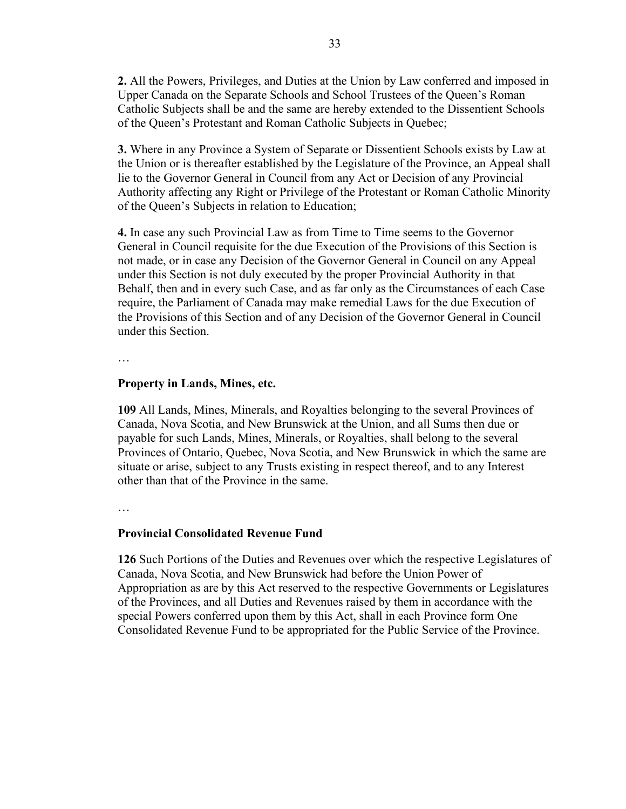**2.** All the Powers, Privileges, and Duties at the Union by Law conferred and imposed in Upper Canada on the Separate Schools and School Trustees of the Queen's Roman Catholic Subjects shall be and the same are hereby extended to the Dissentient Schools of the Queen's Protestant and Roman Catholic Subjects in Quebec;

**3.** Where in any Province a System of Separate or Dissentient Schools exists by Law at the Union or is thereafter established by the Legislature of the Province, an Appeal shall lie to the Governor General in Council from any Act or Decision of any Provincial Authority affecting any Right or Privilege of the Protestant or Roman Catholic Minority of the Queen's Subjects in relation to Education;

**4.** In case any such Provincial Law as from Time to Time seems to the Governor General in Council requisite for the due Execution of the Provisions of this Section is not made, or in case any Decision of the Governor General in Council on any Appeal under this Section is not duly executed by the proper Provincial Authority in that Behalf, then and in every such Case, and as far only as the Circumstances of each Case require, the Parliament of Canada may make remedial Laws for the due Execution of the Provisions of this Section and of any Decision of the Governor General in Council under this Section.

…

### **Property in Lands, Mines, etc.**

**109** All Lands, Mines, Minerals, and Royalties belonging to the several Provinces of Canada, Nova Scotia, and New Brunswick at the Union, and all Sums then due or payable for such Lands, Mines, Minerals, or Royalties, shall belong to the several Provinces of Ontario, Quebec, Nova Scotia, and New Brunswick in which the same are situate or arise, subject to any Trusts existing in respect thereof, and to any Interest other than that of the Province in the same.

…

## **Provincial Consolidated Revenue Fund**

**126** Such Portions of the Duties and Revenues over which the respective Legislatures of Canada, Nova Scotia, and New Brunswick had before the Union Power of Appropriation as are by this Act reserved to the respective Governments or Legislatures of the Provinces, and all Duties and Revenues raised by them in accordance with the special Powers conferred upon them by this Act, shall in each Province form One Consolidated Revenue Fund to be appropriated for the Public Service of the Province.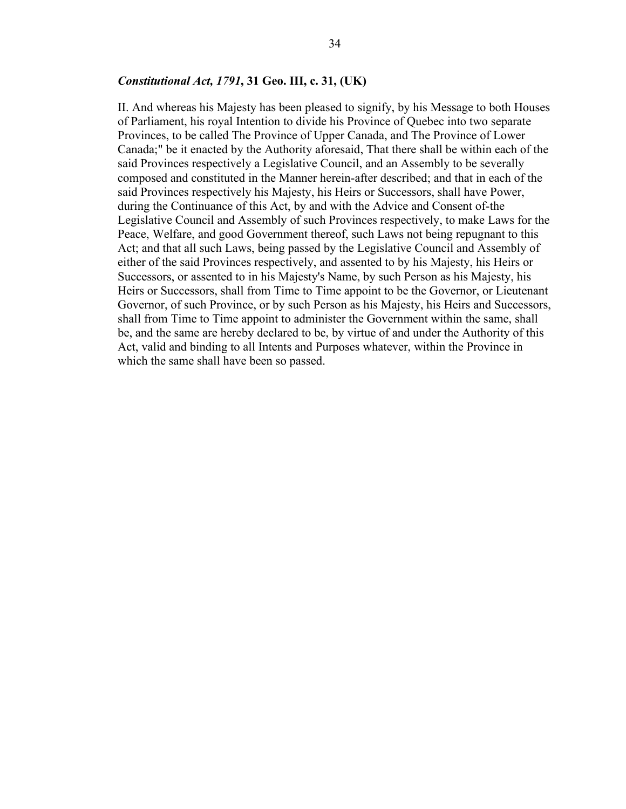## *Constitutional Act, 1791***, 31 Geo. III, c. 31, (UK)**

II. And whereas his Majesty has been pleased to signify, by his Message to both Houses of Parliament, his royal Intention to divide his Province of Quebec into two separate Provinces, to be called The Province of Upper Canada, and The Province of Lower Canada;" be it enacted by the Authority aforesaid, That there shall be within each of the said Provinces respectively a Legislative Council, and an Assembly to be severally composed and constituted in the Manner herein-after described; and that in each of the said Provinces respectively his Majesty, his Heirs or Successors, shall have Power, during the Continuance of this Act, by and with the Advice and Consent of-the Legislative Council and Assembly of such Provinces respectively, to make Laws for the Peace, Welfare, and good Government thereof, such Laws not being repugnant to this Act; and that all such Laws, being passed by the Legislative Council and Assembly of either of the said Provinces respectively, and assented to by his Majesty, his Heirs or Successors, or assented to in his Majesty's Name, by such Person as his Majesty, his Heirs or Successors, shall from Time to Time appoint to be the Governor, or Lieutenant Governor, of such Province, or by such Person as his Majesty, his Heirs and Successors, shall from Time to Time appoint to administer the Government within the same, shall be, and the same are hereby declared to be, by virtue of and under the Authority of this Act, valid and binding to all Intents and Purposes whatever, within the Province in which the same shall have been so passed.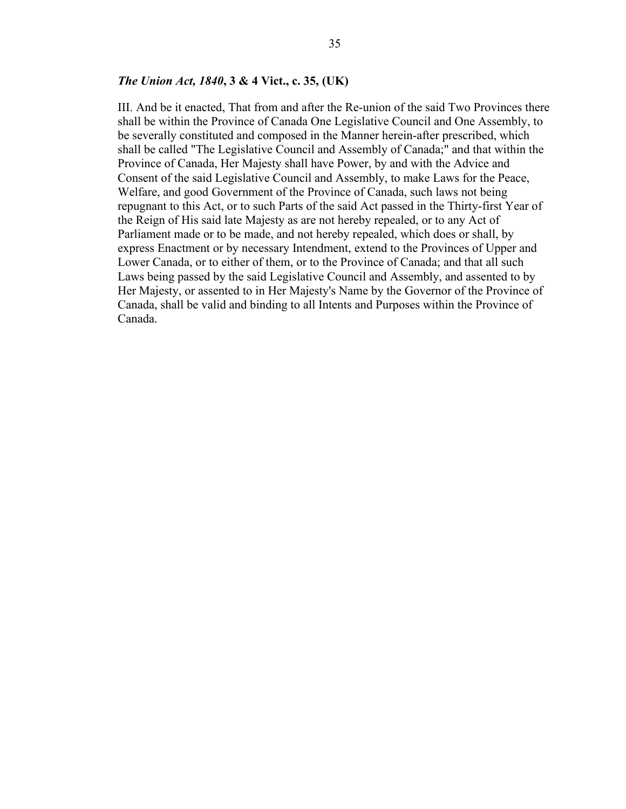#### *The Union Act, 1840***, 3 & 4 Vict., c. 35, (UK)**

III. And be it enacted, That from and after the Re-union of the said Two Provinces there shall be within the Province of Canada One Legislative Council and One Assembly, to be severally constituted and composed in the Manner herein-after prescribed, which shall be called "The Legislative Council and Assembly of Canada;" and that within the Province of Canada, Her Majesty shall have Power, by and with the Advice and Consent of the said Legislative Council and Assembly, to make Laws for the Peace, Welfare, and good Government of the Province of Canada, such laws not being repugnant to this Act, or to such Parts of the said Act passed in the Thirty-first Year of the Reign of His said late Majesty as are not hereby repealed, or to any Act of Parliament made or to be made, and not hereby repealed, which does or shall, by express Enactment or by necessary Intendment, extend to the Provinces of Upper and Lower Canada, or to either of them, or to the Province of Canada; and that all such Laws being passed by the said Legislative Council and Assembly, and assented to by Her Majesty, or assented to in Her Majesty's Name by the Governor of the Province of Canada, shall be valid and binding to all Intents and Purposes within the Province of Canada.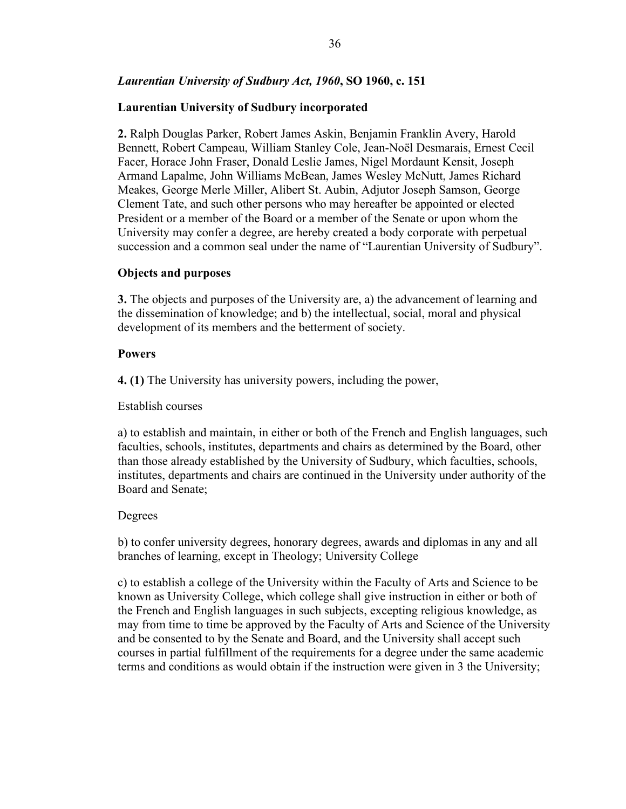## *Laurentian University of Sudbury Act, 1960***, SO 1960, c. 151**

#### **Laurentian University of Sudbury incorporated**

**2.** Ralph Douglas Parker, Robert James Askin, Benjamin Franklin Avery, Harold Bennett, Robert Campeau, William Stanley Cole, Jean-Noël Desmarais, Ernest Cecil Facer, Horace John Fraser, Donald Leslie James, Nigel Mordaunt Kensit, Joseph Armand Lapalme, John Williams McBean, James Wesley McNutt, James Richard Meakes, George Merle Miller, Alibert St. Aubin, Adjutor Joseph Samson, George Clement Tate, and such other persons who may hereafter be appointed or elected President or a member of the Board or a member of the Senate or upon whom the University may confer a degree, are hereby created a body corporate with perpetual succession and a common seal under the name of "Laurentian University of Sudbury".

### **Objects and purposes**

**3.** The objects and purposes of the University are, a) the advancement of learning and the dissemination of knowledge; and b) the intellectual, social, moral and physical development of its members and the betterment of society.

#### **Powers**

**4. (1)** The University has university powers, including the power,

Establish courses

a) to establish and maintain, in either or both of the French and English languages, such faculties, schools, institutes, departments and chairs as determined by the Board, other than those already established by the University of Sudbury, which faculties, schools, institutes, departments and chairs are continued in the University under authority of the Board and Senate;

#### Degrees

b) to confer university degrees, honorary degrees, awards and diplomas in any and all branches of learning, except in Theology; University College

c) to establish a college of the University within the Faculty of Arts and Science to be known as University College, which college shall give instruction in either or both of the French and English languages in such subjects, excepting religious knowledge, as may from time to time be approved by the Faculty of Arts and Science of the University and be consented to by the Senate and Board, and the University shall accept such courses in partial fulfillment of the requirements for a degree under the same academic terms and conditions as would obtain if the instruction were given in 3 the University;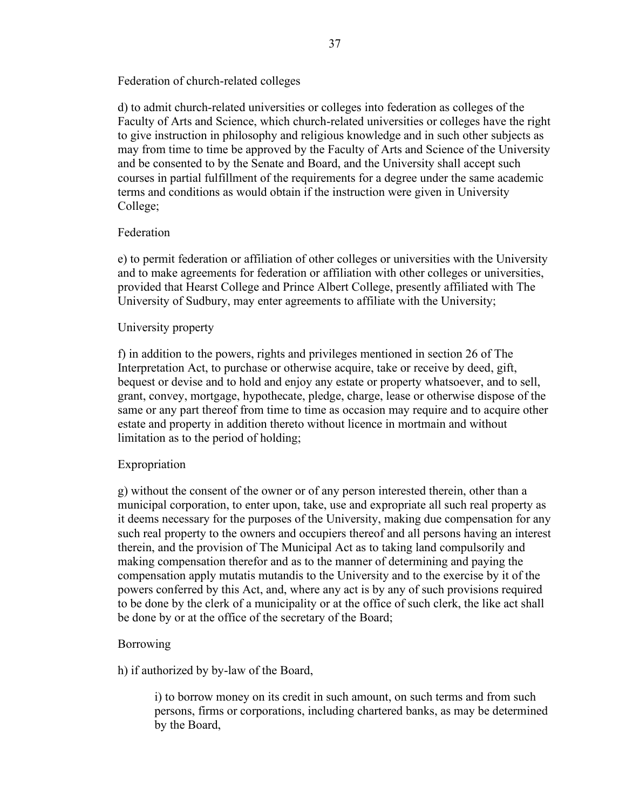Federation of church-related colleges

d) to admit church-related universities or colleges into federation as colleges of the Faculty of Arts and Science, which church-related universities or colleges have the right to give instruction in philosophy and religious knowledge and in such other subjects as may from time to time be approved by the Faculty of Arts and Science of the University and be consented to by the Senate and Board, and the University shall accept such courses in partial fulfillment of the requirements for a degree under the same academic terms and conditions as would obtain if the instruction were given in University College;

### Federation

e) to permit federation or affiliation of other colleges or universities with the University and to make agreements for federation or affiliation with other colleges or universities, provided that Hearst College and Prince Albert College, presently affiliated with The University of Sudbury, may enter agreements to affiliate with the University;

#### University property

f) in addition to the powers, rights and privileges mentioned in section 26 of The Interpretation Act, to purchase or otherwise acquire, take or receive by deed, gift, bequest or devise and to hold and enjoy any estate or property whatsoever, and to sell, grant, convey, mortgage, hypothecate, pledge, charge, lease or otherwise dispose of the same or any part thereof from time to time as occasion may require and to acquire other estate and property in addition thereto without licence in mortmain and without limitation as to the period of holding;

#### Expropriation

g) without the consent of the owner or of any person interested therein, other than a municipal corporation, to enter upon, take, use and expropriate all such real property as it deems necessary for the purposes of the University, making due compensation for any such real property to the owners and occupiers thereof and all persons having an interest therein, and the provision of The Municipal Act as to taking land compulsorily and making compensation therefor and as to the manner of determining and paying the compensation apply mutatis mutandis to the University and to the exercise by it of the powers conferred by this Act, and, where any act is by any of such provisions required to be done by the clerk of a municipality or at the office of such clerk, the like act shall be done by or at the office of the secretary of the Board;

### Borrowing

h) if authorized by by-law of the Board,

i) to borrow money on its credit in such amount, on such terms and from such persons, firms or corporations, including chartered banks, as may be determined by the Board,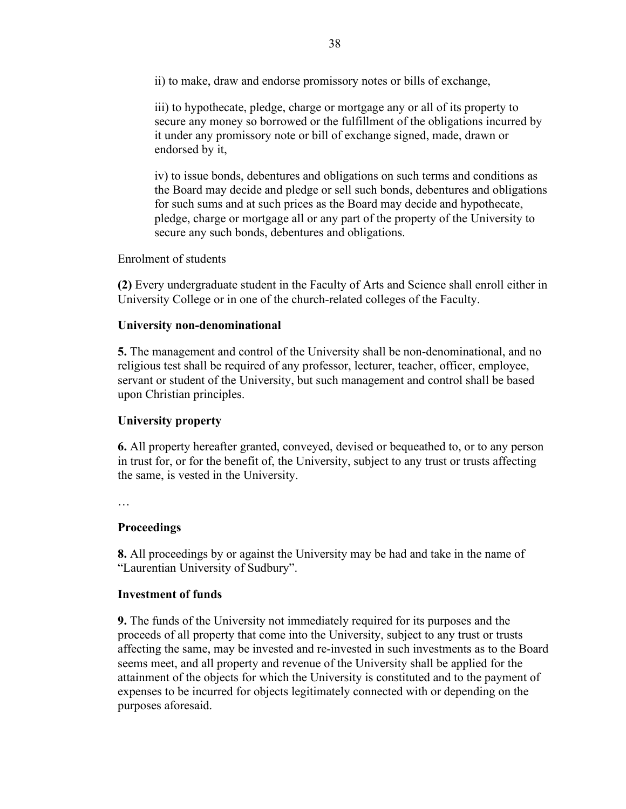ii) to make, draw and endorse promissory notes or bills of exchange,

iii) to hypothecate, pledge, charge or mortgage any or all of its property to secure any money so borrowed or the fulfillment of the obligations incurred by it under any promissory note or bill of exchange signed, made, drawn or endorsed by it,

iv) to issue bonds, debentures and obligations on such terms and conditions as the Board may decide and pledge or sell such bonds, debentures and obligations for such sums and at such prices as the Board may decide and hypothecate, pledge, charge or mortgage all or any part of the property of the University to secure any such bonds, debentures and obligations.

Enrolment of students

**(2)** Every undergraduate student in the Faculty of Arts and Science shall enroll either in University College or in one of the church-related colleges of the Faculty.

## **University non-denominational**

**5.** The management and control of the University shall be non-denominational, and no religious test shall be required of any professor, lecturer, teacher, officer, employee, servant or student of the University, but such management and control shall be based upon Christian principles.

## **University property**

**6.** All property hereafter granted, conveyed, devised or bequeathed to, or to any person in trust for, or for the benefit of, the University, subject to any trust or trusts affecting the same, is vested in the University.

…

## **Proceedings**

**8.** All proceedings by or against the University may be had and take in the name of "Laurentian University of Sudbury".

### **Investment of funds**

**9.** The funds of the University not immediately required for its purposes and the proceeds of all property that come into the University, subject to any trust or trusts affecting the same, may be invested and re-invested in such investments as to the Board seems meet, and all property and revenue of the University shall be applied for the attainment of the objects for which the University is constituted and to the payment of expenses to be incurred for objects legitimately connected with or depending on the purposes aforesaid.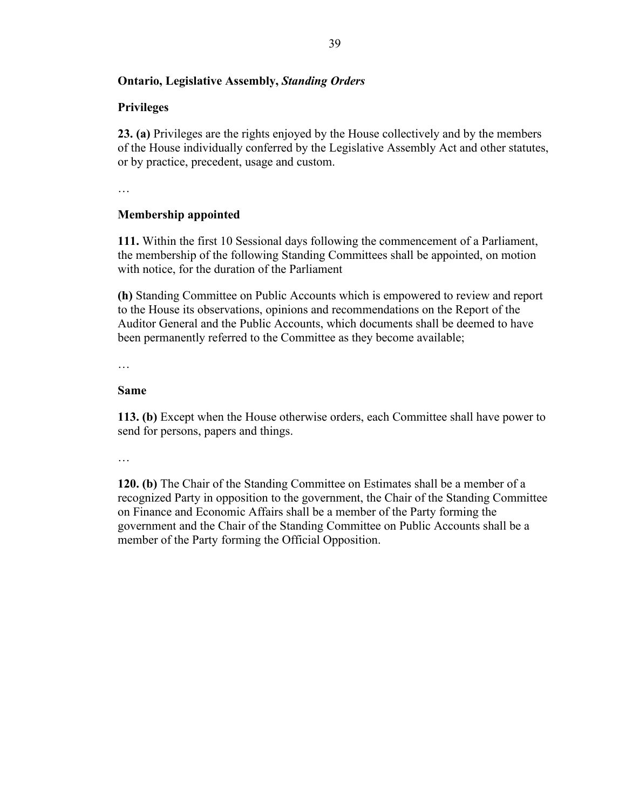## **Ontario, Legislative Assembly,** *Standing Orders*

## **Privileges**

**23. (a)** Privileges are the rights enjoyed by the House collectively and by the members of the House individually conferred by the Legislative Assembly Act and other statutes, or by practice, precedent, usage and custom.

…

## **Membership appointed**

**111.** Within the first 10 Sessional days following the commencement of a Parliament, the membership of the following Standing Committees shall be appointed, on motion with notice, for the duration of the Parliament

**(h)** Standing Committee on Public Accounts which is empowered to review and report to the House its observations, opinions and recommendations on the Report of the Auditor General and the Public Accounts, which documents shall be deemed to have been permanently referred to the Committee as they become available;

…

## **Same**

**113. (b)** Except when the House otherwise orders, each Committee shall have power to send for persons, papers and things.

…

**120. (b)** The Chair of the Standing Committee on Estimates shall be a member of a recognized Party in opposition to the government, the Chair of the Standing Committee on Finance and Economic Affairs shall be a member of the Party forming the government and the Chair of the Standing Committee on Public Accounts shall be a member of the Party forming the Official Opposition.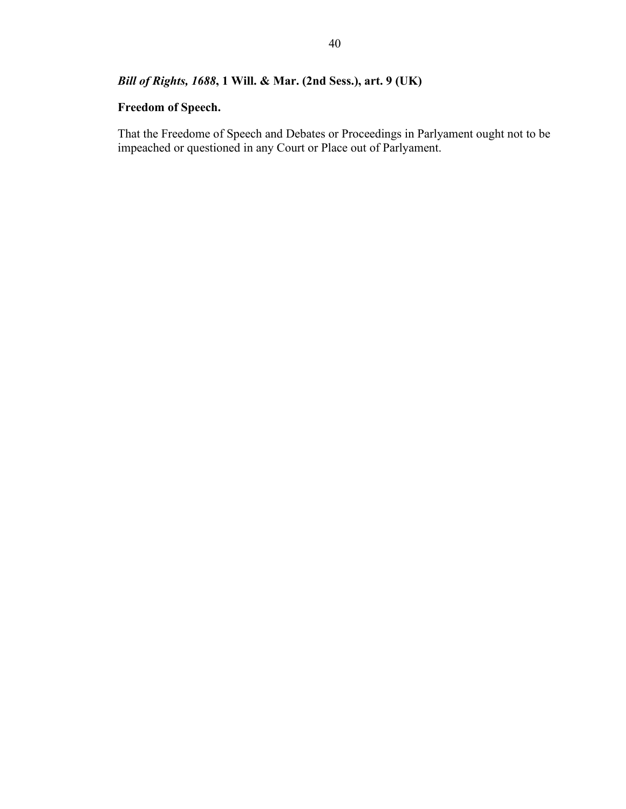## *Bill of Rights, 1688***, 1 Will. & Mar. (2nd Sess.), art. 9 (UK)**

## **Freedom of Speech.**

That the Freedome of Speech and Debates or Proceedings in Parlyament ought not to be impeached or questioned in any Court or Place out of Parlyament.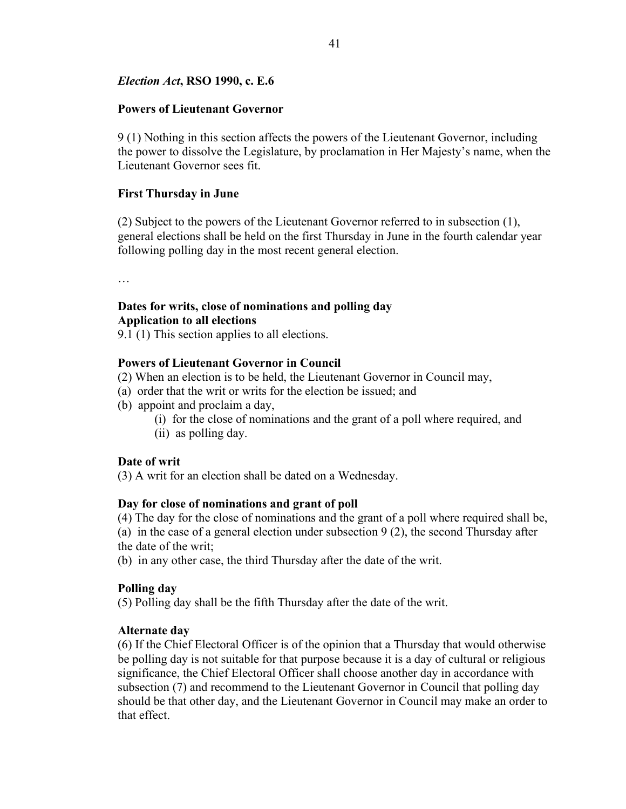#### *Election Act***, RSO 1990, c. E.6**

#### **Powers of Lieutenant Governor**

9 (1) Nothing in this section affects the powers of the Lieutenant Governor, including the power to dissolve the Legislature, by proclamation in Her Majesty's name, when the Lieutenant Governor sees fit.

#### **First Thursday in June**

(2) Subject to the powers of the Lieutenant Governor referred to in subsection (1), general elections shall be held on the first Thursday in June in the fourth calendar year following polling day in the most recent general election.

…

## **Dates for writs, close of nominations and polling day Application to all elections**

9.1 (1) This section applies to all elections.

#### **Powers of Lieutenant Governor in Council**

- (2) When an election is to be held, the Lieutenant Governor in Council may,
- (a) order that the writ or writs for the election be issued; and
- (b) appoint and proclaim a day,
	- (i) for the close of nominations and the grant of a poll where required, and
	- (ii) as polling day.

#### **Date of writ**

(3) A writ for an election shall be dated on a Wednesday.

#### **Day for close of nominations and grant of poll**

(4) The day for the close of nominations and the grant of a poll where required shall be,

(a) in the case of a general election under subsection 9 (2), the second Thursday after the date of the writ;

(b) in any other case, the third Thursday after the date of the writ.

#### **Polling day**

(5) Polling day shall be the fifth Thursday after the date of the writ.

#### **Alternate day**

(6) If the Chief Electoral Officer is of the opinion that a Thursday that would otherwise be polling day is not suitable for that purpose because it is a day of cultural or religious significance, the Chief Electoral Officer shall choose another day in accordance with subsection (7) and recommend to the Lieutenant Governor in Council that polling day should be that other day, and the Lieutenant Governor in Council may make an order to that effect.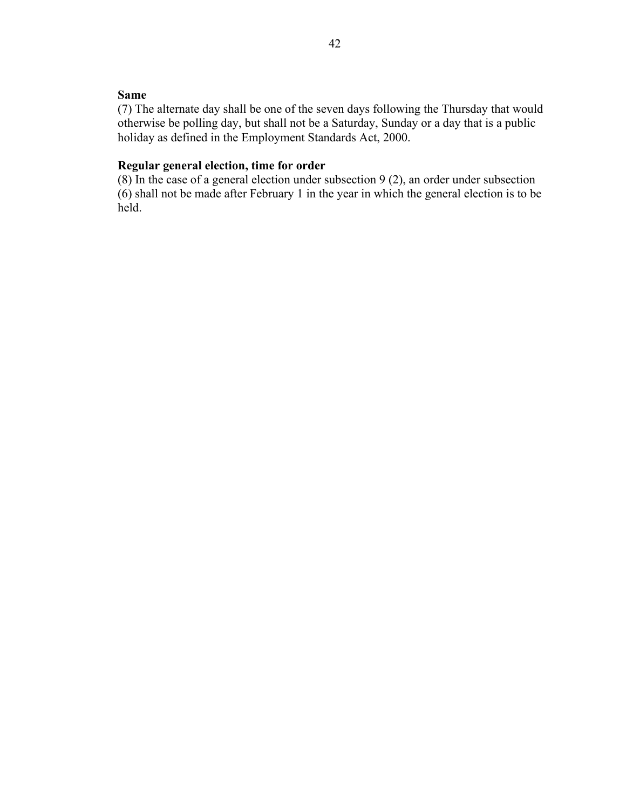#### **Same**

(7) The alternate day shall be one of the seven days following the Thursday that would otherwise be polling day, but shall not be a Saturday, Sunday or a day that is a public holiday as defined in the Employment Standards Act, 2000.

## **Regular general election, time for order**

(8) In the case of a general election under subsection 9 (2), an order under subsection (6) shall not be made after February 1 in the year in which the general election is to be held.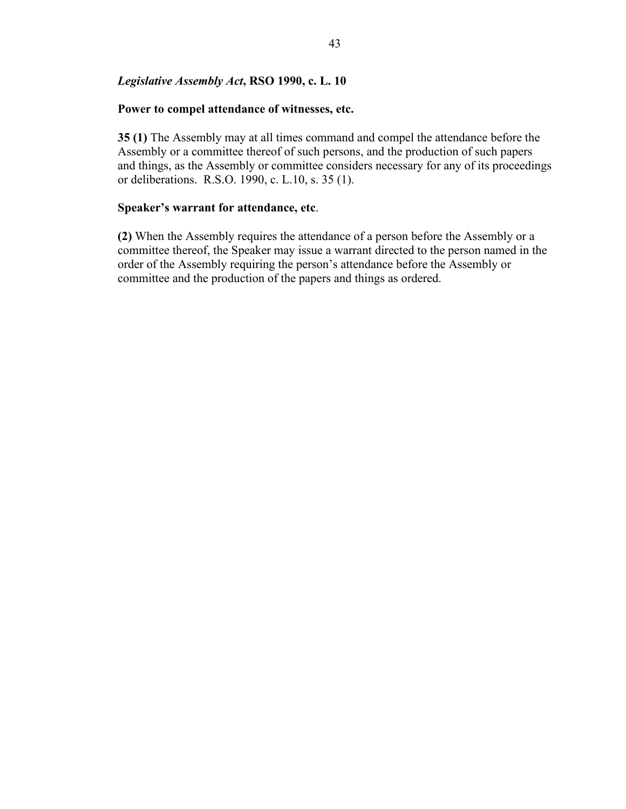#### *Legislative Assembly Act***, RSO 1990, c. L. 10**

#### **Power to compel attendance of witnesses, etc.**

**35 (1)** The Assembly may at all times command and compel the attendance before the Assembly or a committee thereof of such persons, and the production of such papers and things, as the Assembly or committee considers necessary for any of its proceedings or deliberations. R.S.O. 1990, c. L.10, s. 35 (1).

#### **Speaker's warrant for attendance, etc**.

**(2)** When the Assembly requires the attendance of a person before the Assembly or a committee thereof, the Speaker may issue a warrant directed to the person named in the order of the Assembly requiring the person's attendance before the Assembly or committee and the production of the papers and things as ordered.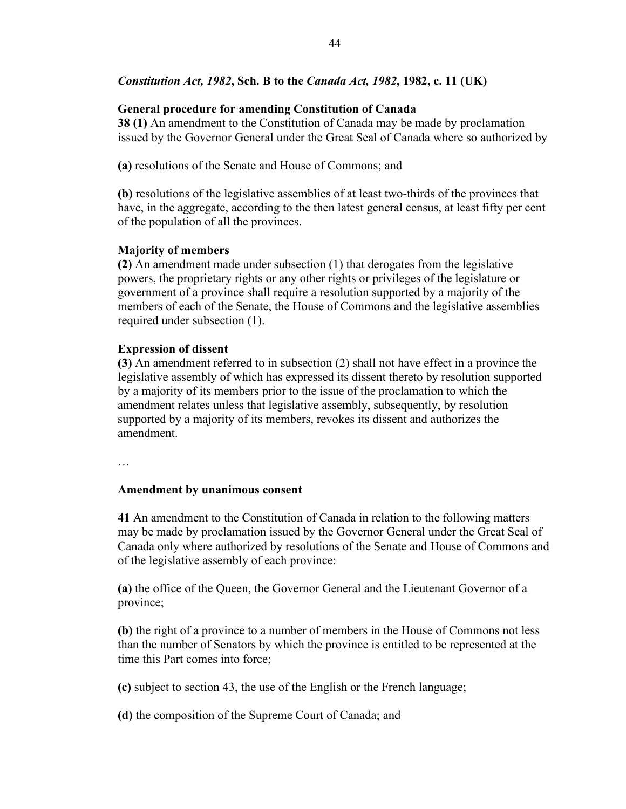## *Constitution Act, 1982***, Sch. B to the** *Canada Act, 1982***, 1982, c. 11 (UK)**

### **General procedure for amending Constitution of Canada**

**38 (1)** An amendment to the Constitution of Canada may be made by proclamation issued by the Governor General under the Great Seal of Canada where so authorized by

**(a)** resolutions of the Senate and House of Commons; and

**(b)** resolutions of the legislative assemblies of at least two-thirds of the provinces that have, in the aggregate, according to the then latest general census, at least fifty per cent of the population of all the provinces.

### **Majority of members**

**(2)** An amendment made under subsection (1) that derogates from the legislative powers, the proprietary rights or any other rights or privileges of the legislature or government of a province shall require a resolution supported by a majority of the members of each of the Senate, the House of Commons and the legislative assemblies required under subsection (1).

#### **Expression of dissent**

**(3)** An amendment referred to in subsection (2) shall not have effect in a province the legislative assembly of which has expressed its dissent thereto by resolution supported by a majority of its members prior to the issue of the proclamation to which the amendment relates unless that legislative assembly, subsequently, by resolution supported by a majority of its members, revokes its dissent and authorizes the amendment.

…

#### **Amendment by unanimous consent**

**41** An amendment to the Constitution of Canada in relation to the following matters may be made by proclamation issued by the Governor General under the Great Seal of Canada only where authorized by resolutions of the Senate and House of Commons and of the legislative assembly of each province:

**(a)** the office of the Queen, the Governor General and the Lieutenant Governor of a province;

**(b)** the right of a province to a number of members in the House of Commons not less than the number of Senators by which the province is entitled to be represented at the time this Part comes into force;

**(c)** subject to section 43, the use of the English or the French language;

**(d)** the composition of the Supreme Court of Canada; and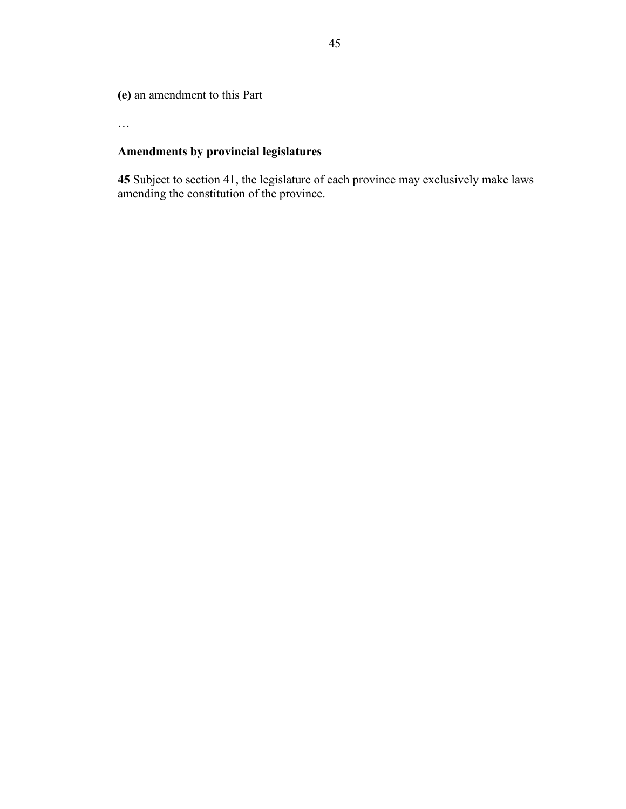**(e)** an amendment to this Part

…

## **Amendments by provincial legislatures**

**45** Subject to section 41, the legislature of each province may exclusively make laws amending the constitution of the province.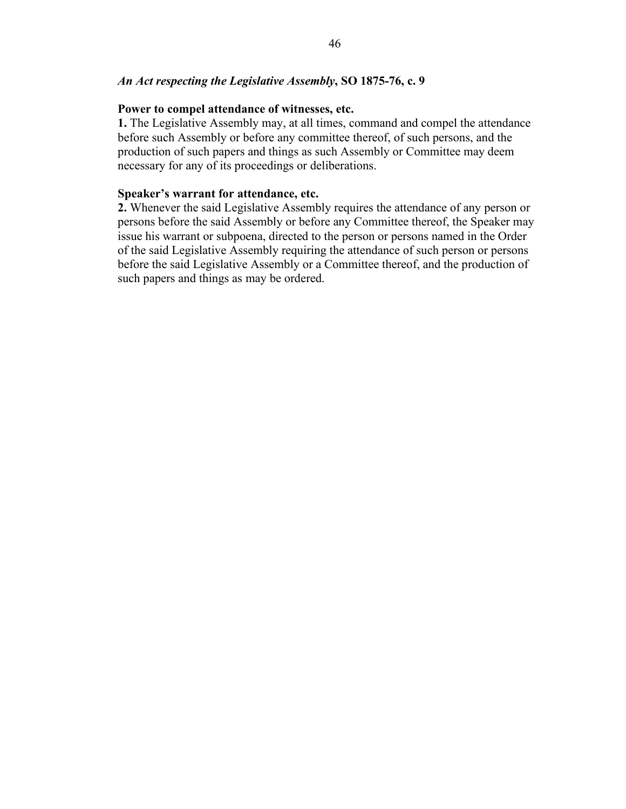#### *An Act respecting the Legislative Assembly***, SO 1875-76, c. 9**

#### **Power to compel attendance of witnesses, etc.**

**1.** The Legislative Assembly may, at all times, command and compel the attendance before such Assembly or before any committee thereof, of such persons, and the production of such papers and things as such Assembly or Committee may deem necessary for any of its proceedings or deliberations.

#### **Speaker's warrant for attendance, etc.**

**2.** Whenever the said Legislative Assembly requires the attendance of any person or persons before the said Assembly or before any Committee thereof, the Speaker may issue his warrant or subpoena, directed to the person or persons named in the Order of the said Legislative Assembly requiring the attendance of such person or persons before the said Legislative Assembly or a Committee thereof, and the production of such papers and things as may be ordered.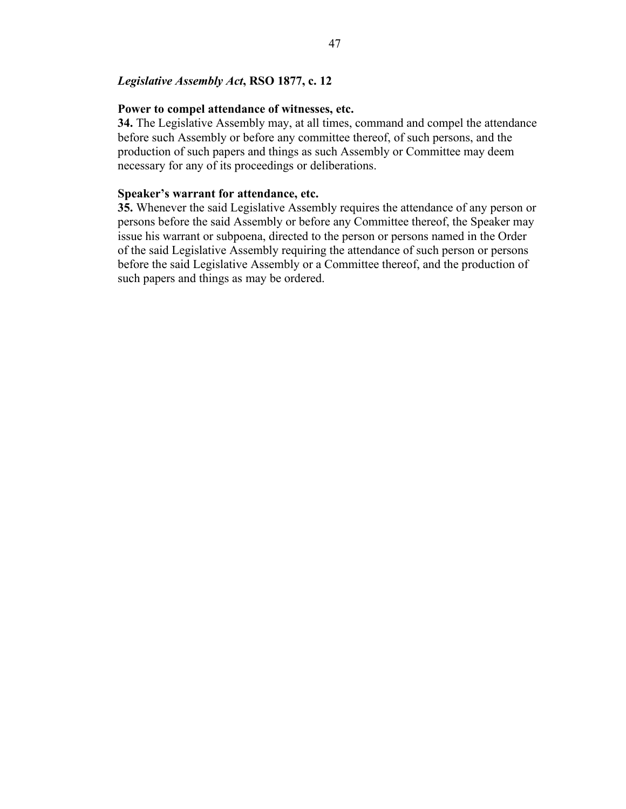#### *Legislative Assembly Act***, RSO 1877, c. 12**

#### **Power to compel attendance of witnesses, etc.**

**34.** The Legislative Assembly may, at all times, command and compel the attendance before such Assembly or before any committee thereof, of such persons, and the production of such papers and things as such Assembly or Committee may deem necessary for any of its proceedings or deliberations.

#### **Speaker's warrant for attendance, etc.**

**35.** Whenever the said Legislative Assembly requires the attendance of any person or persons before the said Assembly or before any Committee thereof, the Speaker may issue his warrant or subpoena, directed to the person or persons named in the Order of the said Legislative Assembly requiring the attendance of such person or persons before the said Legislative Assembly or a Committee thereof, and the production of such papers and things as may be ordered.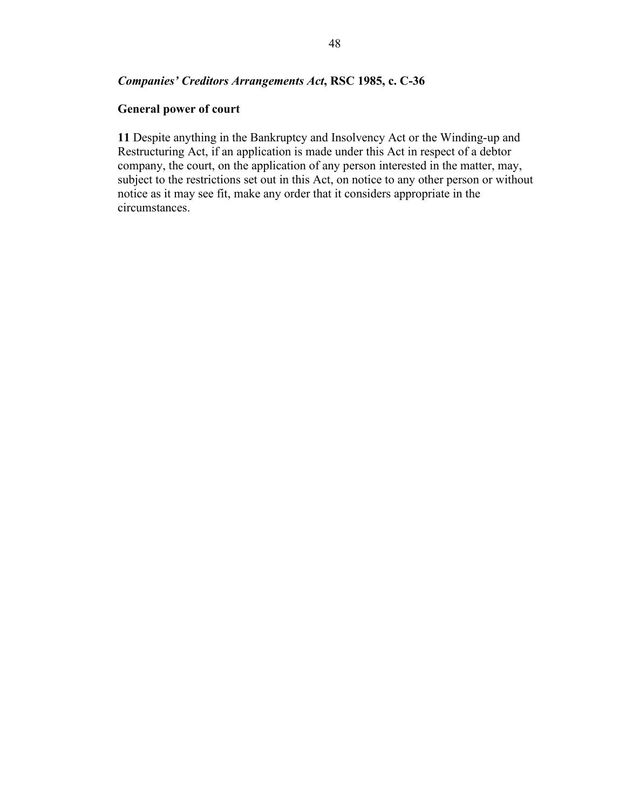## *Companies' Creditors Arrangements Act***, RSC 1985, c. C-36**

## **General power of court**

**11** Despite anything in the Bankruptcy and Insolvency Act or the Winding-up and Restructuring Act, if an application is made under this Act in respect of a debtor company, the court, on the application of any person interested in the matter, may, subject to the restrictions set out in this Act, on notice to any other person or without notice as it may see fit, make any order that it considers appropriate in the circumstances.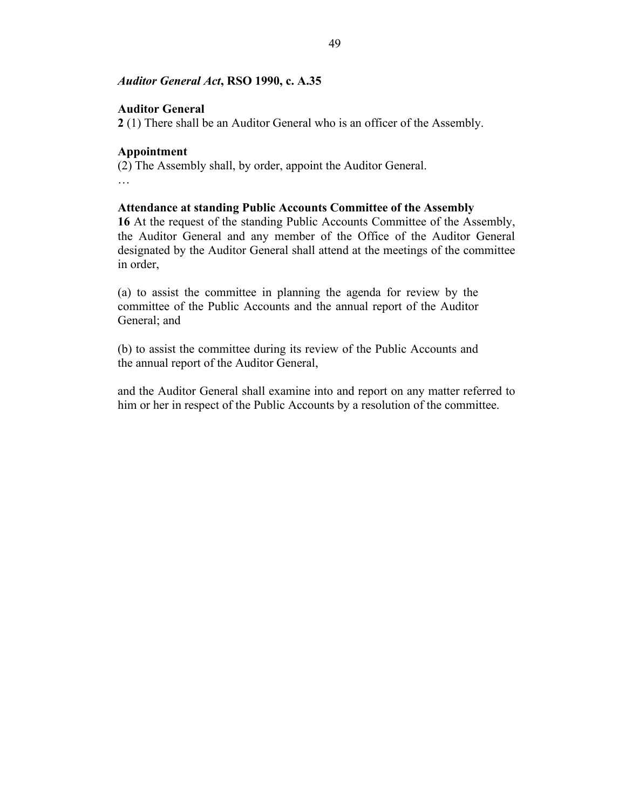### *Auditor General Act***, RSO 1990, c. A.35**

#### **Auditor General**

**2** (1) There shall be an Auditor General who is an officer of the Assembly.

#### **Appointment**

(2) The Assembly shall, by order, appoint the Auditor General. …

#### **Attendance at standing Public Accounts Committee of the Assembly**

**16** At the request of the standing Public Accounts Committee of the Assembly, the Auditor General and any member of the Office of the Auditor General designated by the Auditor General shall attend at the meetings of the committee in order,

(a) to assist the committee in planning the agenda for review by the committee of the Public Accounts and the annual report of the Auditor General; and

(b) to assist the committee during its review of the Public Accounts and the annual report of the Auditor General,

and the Auditor General shall examine into and report on any matter referred to him or her in respect of the Public Accounts by a resolution of the committee.